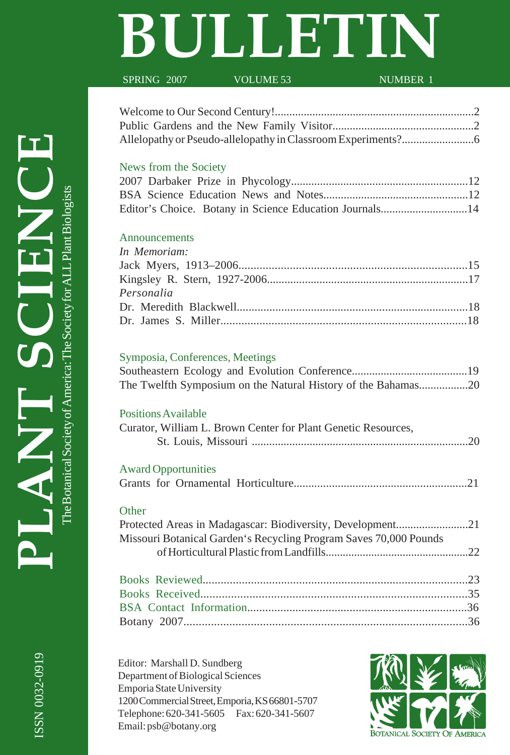# **BULLETIN**

SPRING 2007 VOLUME 53 NUMBER 1

### News from the Society

|  |  | Editor's Choice. Botany in Science Education Journals14 |  |
|--|--|---------------------------------------------------------|--|

### Announcements

| In Memoriam: |  |
|--------------|--|
|              |  |
|              |  |
| Personalia   |  |
|              |  |
|              |  |

## Symposia, Conferences, Meetings

| The Twelfth Symposium on the Natural History of the Bahamas20 |  |
|---------------------------------------------------------------|--|

## Positions Available

| Curator, William L. Brown Center for Plant Genetic Resources, |  |
|---------------------------------------------------------------|--|
|                                                               |  |

## Award Opportunities

## **Other**

| Protected Areas in Madagascar: Biodiversity, Development21        |  |
|-------------------------------------------------------------------|--|
| Missouri Botanical Garden's Recycling Program Saves 70,000 Pounds |  |
|                                                                   |  |

Editor: Marshall D. Sundberg Department of Biological Sciences Emporia State University 1200 Commercial Street, Emporia, KS 66801-5707 Telephone: 620-341-5605 Fax: 620-341-5607 Email: psb@botany.org



The Botanical Society of America: The Society for ALL Plant Biologists

The Botanical Society of America: The Society for ALL Plant Biologists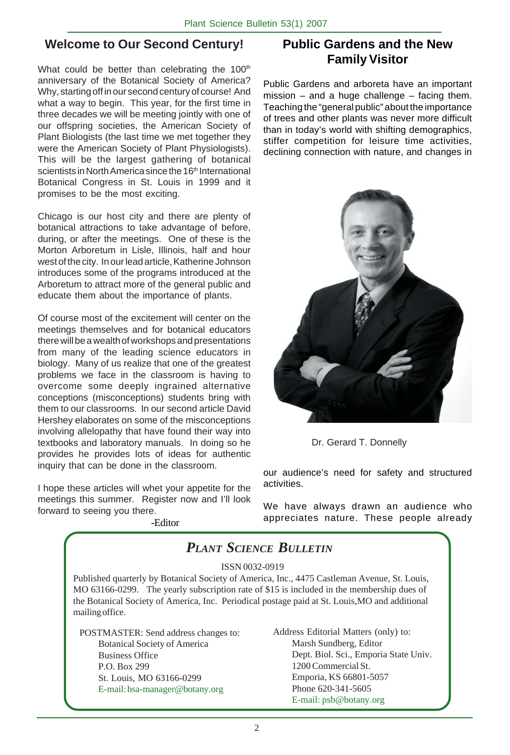## **Welcome to Our Second Century!**

What could be better than celebrating the 100<sup>th</sup> anniversary of the Botanical Society of America? Why, starting off in our second century of course! And what a way to begin. This year, for the first time in three decades we will be meeting jointly with one of our offspring societies, the American Society of Plant Biologists (the last time we met together they were the American Society of Plant Physiologists). This will be the largest gathering of botanical scientists in North America since the 16<sup>th</sup> International Botanical Congress in St. Louis in 1999 and it promises to be the most exciting.

Chicago is our host city and there are plenty of botanical attractions to take advantage of before, during, or after the meetings. One of these is the Morton Arboretum in Lisle, Illinois, half and hour west of the city. In our lead article, Katherine Johnson introduces some of the programs introduced at the Arboretum to attract more of the general public and educate them about the importance of plants.

Of course most of the excitement will center on the meetings themselves and for botanical educators there will be a wealth of workshops and presentations from many of the leading science educators in biology. Many of us realize that one of the greatest problems we face in the classroom is having to overcome some deeply ingrained alternative conceptions (misconceptions) students bring with them to our classrooms. In our second article David Hershey elaborates on some of the misconceptions involving allelopathy that have found their way into textbooks and laboratory manuals. In doing so he provides he provides lots of ideas for authentic inquiry that can be done in the classroom.

I hope these articles will whet your appetite for the meetings this summer. Register now and I'll look forward to seeing you there.

-Editor

**Public Gardens and the New Family Visitor**

Public Gardens and arboreta have an important  $mission - and a huge challenge - facing them.$ Teaching the "general public" about the importance of trees and other plants was never more difficult than in today's world with shifting demographics, stiffer competition for leisure time activities, declining connection with nature, and changes in



Dr. Gerard T. Donnelly

our audience's need for safety and structured activities.

We have always drawn an audience who appreciates nature. These people already

## *PLANT SCIENCE BULLETIN*

ISSN 0032-0919

Published quarterly by Botanical Society of America, Inc., 4475 Castleman Avenue, St. Louis, MO 63166-0299. The yearly subscription rate of \$15 is included in the membership dues of the Botanical Society of America, Inc. Periodical postage paid at St. Louis,MO and additional mailing office.

POSTMASTER: Send address changes to: Botanical Society of America Business Office P.O. Box 299 St. Louis, MO 63166-0299 E-mail: bsa-manager@botany.org

Address Editorial Matters (only) to: Marsh Sundberg, Editor Dept. Biol. Sci., Emporia State Univ. 1200 Commercial St. Emporia, KS 66801-5057 Phone 620-341-5605 E-mail: psb@botany.org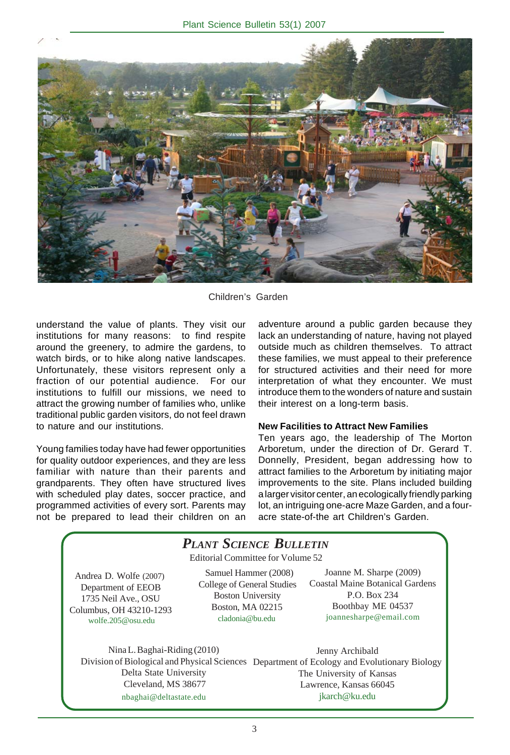

Children's Garden

understand the value of plants. They visit our institutions for many reasons: to find respite around the greenery, to admire the gardens, to watch birds, or to hike along native landscapes. Unfortunately, these visitors represent only a fraction of our potential audience. For our institutions to fulfill our missions, we need to attract the growing number of families who, unlike traditional public garden visitors, do not feel drawn to nature and our institutions.

Young families today have had fewer opportunities for quality outdoor experiences, and they are less familiar with nature than their parents and grandparents. They often have structured lives with scheduled play dates, soccer practice, and programmed activities of every sort. Parents may not be prepared to lead their children on an adventure around a public garden because they lack an understanding of nature, having not played outside much as children themselves. To attract these families, we must appeal to their preference for structured activities and their need for more interpretation of what they encounter. We must introduce them to the wonders of nature and sustain their interest on a long-term basis.

#### **New Facilities to Attract New Families**

Ten years ago, the leadership of The Morton Arboretum, under the direction of Dr. Gerard T. Donnelly, President, began addressing how to attract families to the Arboretum by initiating major improvements to the site. Plans included building a larger visitor center, an ecologically friendly parking lot, an intriguing one-acre Maze Garden, and a fouracre state-of-the art Children's Garden.

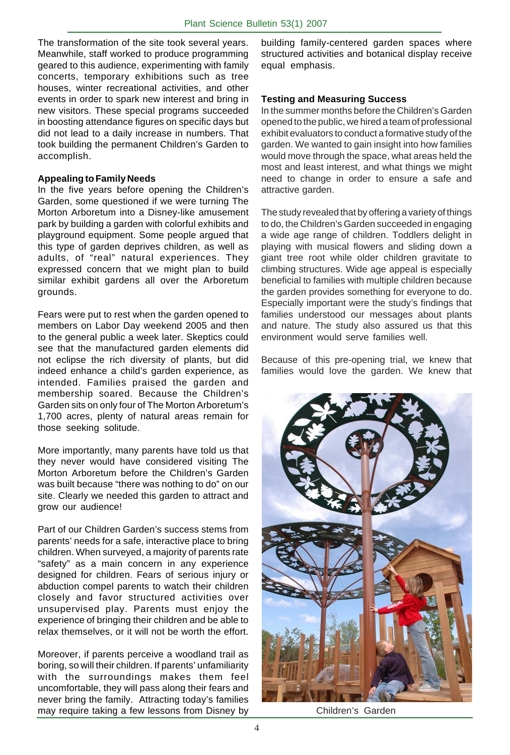The transformation of the site took several years. Meanwhile, staff worked to produce programming geared to this audience, experimenting with family concerts, temporary exhibitions such as tree houses, winter recreational activities, and other events in order to spark new interest and bring in new visitors. These special programs succeeded in boosting attendance figures on specific days but did not lead to a daily increase in numbers. That took building the permanent Children's Garden to accomplish.

#### **Appealing to Family Needs**

In the five years before opening the Children's Garden, some questioned if we were turning The Morton Arboretum into a Disney-like amusement park by building a garden with colorful exhibits and playground equipment. Some people argued that this type of garden deprives children, as well as adults, of "real" natural experiences. They expressed concern that we might plan to build similar exhibit gardens all over the Arboretum grounds.

Fears were put to rest when the garden opened to members on Labor Day weekend 2005 and then to the general public a week later. Skeptics could see that the manufactured garden elements did not eclipse the rich diversity of plants, but did indeed enhance a child's garden experience, as intended. Families praised the garden and membership soared. Because the Children's Garden sits on only four of The Morton Arboretum's 1,700 acres, plenty of natural areas remain for those seeking solitude.

More importantly, many parents have told us that they never would have considered visiting The Morton Arboretum before the Children's Garden was built because "there was nothing to do" on our site. Clearly we needed this garden to attract and grow our audience!

Part of our Children Garden's success stems from parents' needs for a safe, interactive place to bring children. When surveyed, a majority of parents rate "safety" as a main concern in any experience designed for children. Fears of serious injury or abduction compel parents to watch their children closely and favor structured activities over unsupervised play. Parents must enjoy the experience of bringing their children and be able to relax themselves, or it will not be worth the effort.

Moreover, if parents perceive a woodland trail as boring, so will their children. If parents' unfamiliarity with the surroundings makes them feel uncomfortable, they will pass along their fears and never bring the family. Attracting today's families may require taking a few lessons from Disney by

building family-centered garden spaces where structured activities and botanical display receive equal emphasis.

#### **Testing and Measuring Success**

In the summer months before the Children's Garden opened to the public, we hired a team of professional exhibit evaluators to conduct a formative study of the garden. We wanted to gain insight into how families would move through the space, what areas held the most and least interest, and what things we might need to change in order to ensure a safe and attractive garden.

The study revealed that by offering a variety of things to do, the Children's Garden succeeded in engaging a wide age range of children. Toddlers delight in playing with musical flowers and sliding down a giant tree root while older children gravitate to climbing structures. Wide age appeal is especially beneficial to families with multiple children because the garden provides something for everyone to do. Especially important were the study's findings that families understood our messages about plants and nature. The study also assured us that this environment would serve families well.

Because of this pre-opening trial, we knew that families would love the garden. We knew that



Children's Garden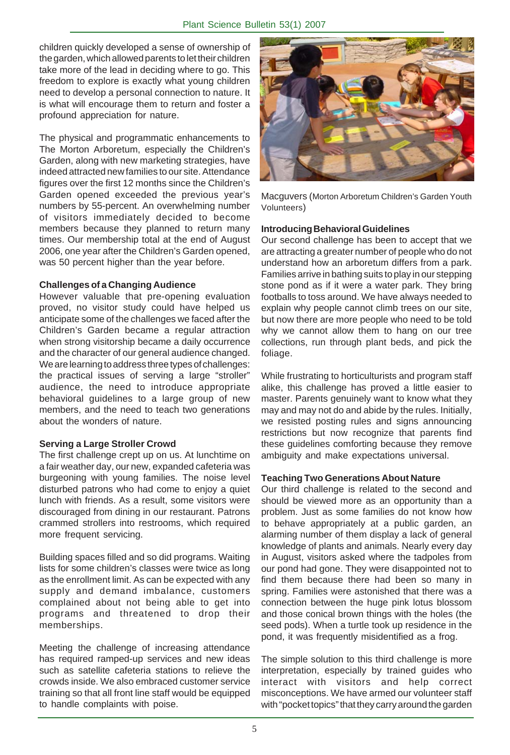children quickly developed a sense of ownership of the garden, which allowed parents to let their children take more of the lead in deciding where to go. This freedom to explore is exactly what young children need to develop a personal connection to nature. It is what will encourage them to return and foster a profound appreciation for nature.

The physical and programmatic enhancements to The Morton Arboretum, especially the Children's Garden, along with new marketing strategies, have indeed attracted new families to our site. Attendance figures over the first 12 months since the Children's Garden opened exceeded the previous year's numbers by 55-percent. An overwhelming number of visitors immediately decided to become members because they planned to return many times. Our membership total at the end of August 2006, one year after the Children's Garden opened, was 50 percent higher than the year before.

#### **Challenges of a Changing Audience**

However valuable that pre-opening evaluation proved, no visitor study could have helped us anticipate some of the challenges we faced after the Children's Garden became a regular attraction when strong visitorship became a daily occurrence and the character of our general audience changed. We are learning to address three types of challenges: the practical issues of serving a large "stroller" audience, the need to introduce appropriate behavioral guidelines to a large group of new members, and the need to teach two generations about the wonders of nature.

#### **Serving a Large Stroller Crowd**

The first challenge crept up on us. At lunchtime on a fair weather day, our new, expanded cafeteria was burgeoning with young families. The noise level disturbed patrons who had come to enjoy a quiet lunch with friends. As a result, some visitors were discouraged from dining in our restaurant. Patrons crammed strollers into restrooms, which required more frequent servicing.

Building spaces filled and so did programs. Waiting lists for some children's classes were twice as long as the enrollment limit. As can be expected with any supply and demand imbalance, customers complained about not being able to get into programs and threatened to drop their memberships.

Meeting the challenge of increasing attendance has required ramped-up services and new ideas such as satellite cafeteria stations to relieve the crowds inside. We also embraced customer service training so that all front line staff would be equipped to handle complaints with poise.



Macguvers (Morton Arboretum Children's Garden Youth Volunteers)

#### **Introducing Behavioral Guidelines**

Our second challenge has been to accept that we are attracting a greater number of people who do not understand how an arboretum differs from a park. Families arrive in bathing suits to play in our stepping stone pond as if it were a water park. They bring footballs to toss around. We have always needed to explain why people cannot climb trees on our site, but now there are more people who need to be told why we cannot allow them to hang on our tree collections, run through plant beds, and pick the foliage.

While frustrating to horticulturists and program staff alike, this challenge has proved a little easier to master. Parents genuinely want to know what they may and may not do and abide by the rules. Initially, we resisted posting rules and signs announcing restrictions but now recognize that parents find these guidelines comforting because they remove ambiguity and make expectations universal.

#### **Teaching Two Generations About Nature**

Our third challenge is related to the second and should be viewed more as an opportunity than a problem. Just as some families do not know how to behave appropriately at a public garden, an alarming number of them display a lack of general knowledge of plants and animals. Nearly every day in August, visitors asked where the tadpoles from our pond had gone. They were disappointed not to find them because there had been so many in spring. Families were astonished that there was a connection between the huge pink lotus blossom and those conical brown things with the holes (the seed pods). When a turtle took up residence in the pond, it was frequently misidentified as a frog.

The simple solution to this third challenge is more interpretation, especially by trained guides who interact with visitors and help correct misconceptions. We have armed our volunteer staff with "pocket topics" that they carry around the garden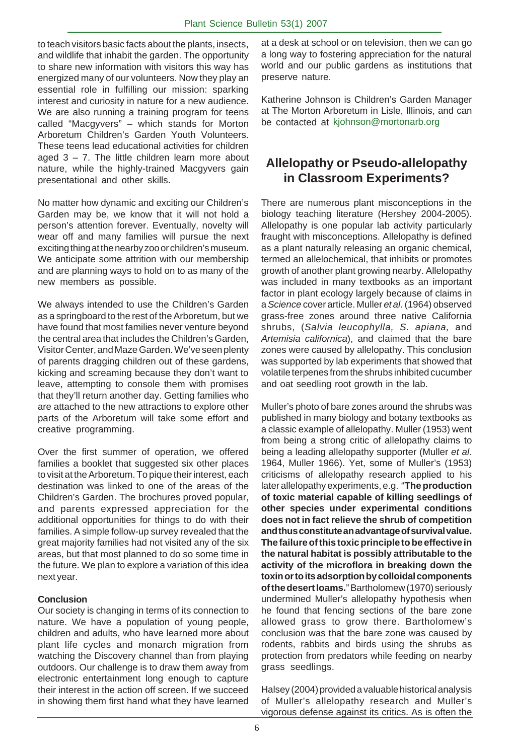to teach visitors basic facts about the plants, insects, and wildlife that inhabit the garden. The opportunity to share new information with visitors this way has energized many of our volunteers. Now they play an essential role in fulfilling our mission: sparking interest and curiosity in nature for a new audience. We are also running a training program for teens called "Macgyvers" – which stands for Morton Arboretum Children's Garden Youth Volunteers. These teens lead educational activities for children aged  $3 - 7$ . The little children learn more about nature, while the highly-trained Macgyvers gain presentational and other skills.

No matter how dynamic and exciting our Children's Garden may be, we know that it will not hold a person's attention forever. Eventually, novelty will wear off and many families will pursue the next exciting thing at the nearby zoo or children's museum. We anticipate some attrition with our membership and are planning ways to hold on to as many of the new members as possible.

We always intended to use the Children's Garden as a springboard to the rest of the Arboretum, but we have found that most families never venture beyond the central area that includes the Children's Garden, Visitor Center, and Maze Garden. We've seen plenty of parents dragging children out of these gardens, kicking and screaming because they don't want to leave, attempting to console them with promises that they'll return another day. Getting families who are attached to the new attractions to explore other parts of the Arboretum will take some effort and creative programming.

Over the first summer of operation, we offered families a booklet that suggested six other places to visit at the Arboretum. To pique their interest, each destination was linked to one of the areas of the Children's Garden. The brochures proved popular, and parents expressed appreciation for the additional opportunities for things to do with their families. A simple follow-up survey revealed that the great majority families had not visited any of the six areas, but that most planned to do so some time in the future. We plan to explore a variation of this idea next year.

#### **Conclusion**

Our society is changing in terms of its connection to nature. We have a population of young people, children and adults, who have learned more about plant life cycles and monarch migration from watching the Discovery channel than from playing outdoors. Our challenge is to draw them away from electronic entertainment long enough to capture their interest in the action off screen. If we succeed in showing them first hand what they have learned

at a desk at school or on television, then we can go a long way to fostering appreciation for the natural world and our public gardens as institutions that preserve nature.

Katherine Johnson is Children's Garden Manager at The Morton Arboretum in Lisle, Illinois, and can be contacted at kjohnson@mortonarb.org

## **Allelopathy or Pseudo-allelopathy in Classroom Experiments?**

There are numerous plant misconceptions in the biology teaching literature (Hershey 2004-2005). Allelopathy is one popular lab activity particularly fraught with misconceptions. Allelopathy is defined as a plant naturally releasing an organic chemical, termed an allelochemical, that inhibits or promotes growth of another plant growing nearby. Allelopathy was included in many textbooks as an important factor in plant ecology largely because of claims in a *Science* cover article. Muller *et al.* (1964) observed grass-free zones around three native California shrubs, (*Salvia leucophylla, S. apiana,* and *Artemisia californica*), and claimed that the bare zones were caused by allelopathy. This conclusion was supported by lab experiments that showed that volatile terpenes from the shrubs inhibited cucumber and oat seedling root growth in the lab.

Muller's photo of bare zones around the shrubs was published in many biology and botany textbooks as a classic example of allelopathy. Muller (1953) went from being a strong critic of allelopathy claims to being a leading allelopathy supporter (Muller *et al.* 1964, Muller 1966). Yet, some of Muller's (1953) criticisms of allelopathy research applied to his later allelopathy experiments, e.g. "**The production of toxic material capable of killing seedlings of other species under experimental conditions does not in fact relieve the shrub of competition and thus constitute an advantage of survival value. The failure of this toxic principle to be effective in the natural habitat is possibly attributable to the activity of the microflora in breaking down the toxin or to its adsorption by colloidal components of the desert loams.**" Bartholomew (1970) seriously undermined Muller's allelopathy hypothesis when he found that fencing sections of the bare zone allowed grass to grow there. Bartholomew's conclusion was that the bare zone was caused by rodents, rabbits and birds using the shrubs as protection from predators while feeding on nearby grass seedlings.

Halsey (2004) provided a valuable historical analysis of Muller's allelopathy research and Muller's vigorous defense against its critics. As is often the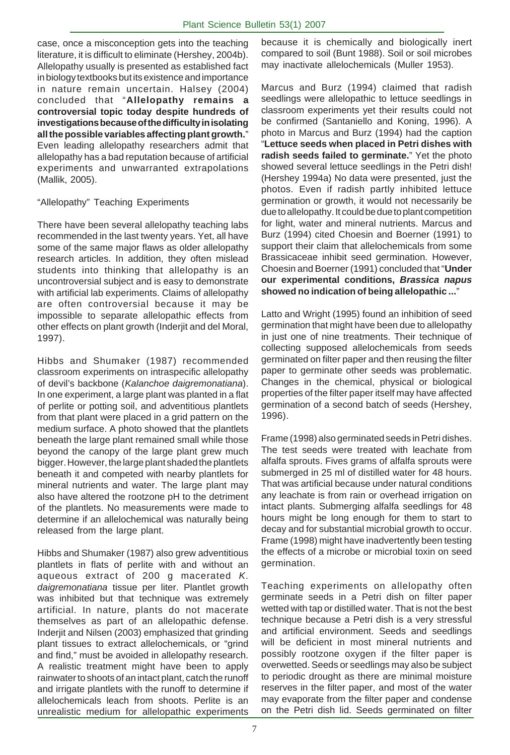case, once a misconception gets into the teaching literature, it is difficult to eliminate (Hershey, 2004b). Allelopathy usually is presented as established fact in biology textbooks but its existence and importance in nature remain uncertain. Halsey (2004) concluded that "**Allelopathy remains a controversial topic today despite hundreds of investigations because of the difficulty in isolating all the possible variables affecting plant growth.**" Even leading allelopathy researchers admit that allelopathy has a bad reputation because of artificial experiments and unwarranted extrapolations (Mallik, 2005).

#### "Allelopathy" Teaching Experiments

There have been several allelopathy teaching labs recommended in the last twenty years. Yet, all have some of the same major flaws as older allelopathy research articles. In addition, they often mislead students into thinking that allelopathy is an uncontroversial subject and is easy to demonstrate with artificial lab experiments. Claims of allelopathy are often controversial because it may be impossible to separate allelopathic effects from other effects on plant growth (Inderjit and del Moral, 1997).

Hibbs and Shumaker (1987) recommended classroom experiments on intraspecific allelopathy of devil's backbone (*Kalanchoe daigremonatiana*). In one experiment, a large plant was planted in a flat of perlite or potting soil, and adventitious plantlets from that plant were placed in a grid pattern on the medium surface. A photo showed that the plantlets beneath the large plant remained small while those beyond the canopy of the large plant grew much bigger. However, the large plant shaded the plantlets beneath it and competed with nearby plantlets for mineral nutrients and water. The large plant may also have altered the rootzone pH to the detriment of the plantlets. No measurements were made to determine if an allelochemical was naturally being released from the large plant.

Hibbs and Shumaker (1987) also grew adventitious plantlets in flats of perlite with and without an aqueous extract of 200 g macerated *K. daigremonatiana* tissue per liter. Plantlet growth was inhibited but that technique was extremely artificial. In nature, plants do not macerate themselves as part of an allelopathic defense. Inderjit and Nilsen (2003) emphasized that grinding plant tissues to extract allelochemicals, or "grind and find," must be avoided in allelopathy research. A realistic treatment might have been to apply rainwater to shoots of an intact plant, catch the runoff and irrigate plantlets with the runoff to determine if allelochemicals leach from shoots. Perlite is an unrealistic medium for allelopathic experiments

because it is chemically and biologically inert compared to soil (Bunt 1988). Soil or soil microbes may inactivate allelochemicals (Muller 1953).

Marcus and Burz (1994) claimed that radish seedlings were allelopathic to lettuce seedlings in classroom experiments yet their results could not be confirmed (Santaniello and Koning, 1996). A photo in Marcus and Burz (1994) had the caption "**Lettuce seeds when placed in Petri dishes with radish seeds failed to germinate.**" Yet the photo showed several lettuce seedlings in the Petri dish! (Hershey 1994a) No data were presented, just the photos. Even if radish partly inhibited lettuce germination or growth, it would not necessarily be due to allelopathy. It could be due to plant competition for light, water and mineral nutrients. Marcus and Burz (1994) cited Choesin and Boerner (1991) to support their claim that allelochemicals from some Brassicaceae inhibit seed germination. However, Choesin and Boerner (1991) concluded that "**Under our experimental conditions,** *Brassica napus* **showed no indication of being allelopathic ...**"

Latto and Wright (1995) found an inhibition of seed germination that might have been due to allelopathy in just one of nine treatments. Their technique of collecting supposed allelochemicals from seeds germinated on filter paper and then reusing the filter paper to germinate other seeds was problematic. Changes in the chemical, physical or biological properties of the filter paper itself may have affected germination of a second batch of seeds (Hershey, 1996).

. Frame (1998) might have inadvertently been testing Frame (1998) also germinated seeds in Petri dishes. The test seeds were treated with leachate from alfalfa sprouts. Fives grams of alfalfa sprouts were submerged in 25 ml of distilled water for 48 hours. That was artificial because under natural conditions any leachate is from rain or overhead irrigation on intact plants. Submerging alfalfa seedlings for 48 hours might be long enough for them to start to decay and for substantial microbial growth to occur. the effects of a microbe or microbial toxin on seed germination.

Teaching experiments on allelopathy often germinate seeds in a Petri dish on filter paper wetted with tap or distilled water. That is not the best technique because a Petri dish is a very stressful and artificial environment. Seeds and seedlings will be deficient in most mineral nutrients and possibly rootzone oxygen if the filter paper is overwetted. Seeds or seedlings may also be subject to periodic drought as there are minimal moisture reserves in the filter paper, and most of the water may evaporate from the filter paper and condense on the Petri dish lid. Seeds germinated on filter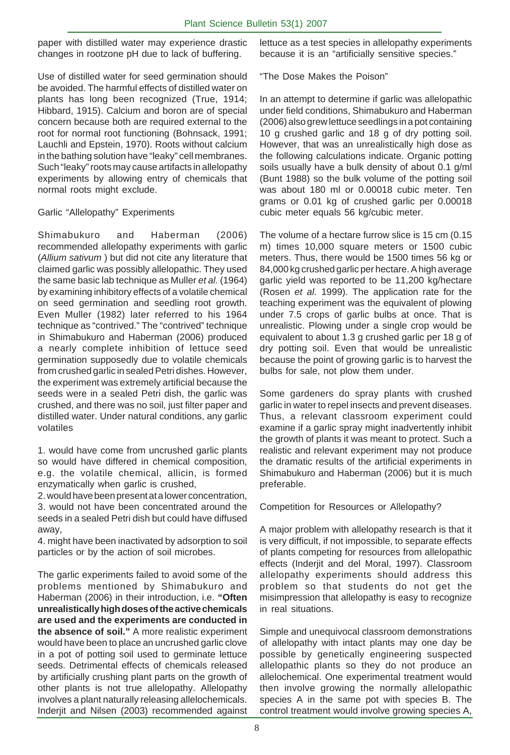paper with distilled water may experience drastic changes in rootzone pH due to lack of buffering.

Use of distilled water for seed germination should be avoided. The harmful effects of distilled water on plants has long been recognized (True, 1914; Hibbard, 1915). Calcium and boron are of special concern because both are required external to the root for normal root functioning (Bohnsack, 1991; Lauchli and Epstein, 1970). Roots without calcium in the bathing solution have "leaky" cell membranes. Such "leaky" roots may cause artifacts in allelopathy experiments by allowing entry of chemicals that normal roots might exclude.

#### Garlic "Allelopathy" Experiments

Shimabukuro and Haberman (2006) recommended allelopathy experiments with garlic (*Allium sativum* ) but did not cite any literature that claimed garlic was possibly allelopathic. They used the same basic lab technique as Muller *et al.* (1964) by examining inhibitory effects of a volatile chemical on seed germination and seedling root growth. Even Muller (1982) later referred to his 1964 technique as "contrived." The "contrived" technique in Shimabukuro and Haberman (2006) produced a nearly complete inhibition of lettuce seed germination supposedly due to volatile chemicals from crushed garlic in sealed Petri dishes. However, the experiment was extremely artificial because the seeds were in a sealed Petri dish, the garlic was crushed, and there was no soil, just filter paper and distilled water. Under natural conditions, any garlic volatiles

1. would have come from uncrushed garlic plants so would have differed in chemical composition, e.g. the volatile chemical, allicin, is formed enzymatically when garlic is crushed,

2. would have been present at a lower concentration, 3. would not have been concentrated around the seeds in a sealed Petri dish but could have diffused away,

4. might have been inactivated by adsorption to soil particles or by the action of soil microbes.

The garlic experiments failed to avoid some of the problems mentioned by Shimabukuro and Haberman (2006) in their introduction, i.e. **"Often unrealistically high doses of the active chemicals are used and the experiments are conducted in the absence of soil."** A more realistic experiment would have been to place an uncrushed garlic clove in a pot of potting soil used to germinate lettuce seeds. Detrimental effects of chemicals released by artificially crushing plant parts on the growth of other plants is not true allelopathy. Allelopathy involves a plant naturally releasing allelochemicals. Inderjit and Nilsen (2003) recommended against

lettuce as a test species in allelopathy experiments because it is an "artificially sensitive species."

"The Dose Makes the Poison"

In an attempt to determine if garlic was allelopathic under field conditions, Shimabukuro and Haberman (2006) also grew lettuce seedlings in a pot containing 10 g crushed garlic and 18 g of dry potting soil. However, that was an unrealistically high dose as the following calculations indicate. Organic potting soils usually have a bulk density of about 0.1 g/ml (Bunt 1988) so the bulk volume of the potting soil was about 180 ml or 0.00018 cubic meter. Ten grams or 0.01 kg of crushed garlic per 0.00018 cubic meter equals 56 kg/cubic meter.

The volume of a hectare furrow slice is 15 cm (0.15 m) times 10,000 square meters or 1500 cubic meters. Thus, there would be 1500 times 56 kg or 84,000 kg crushed garlic per hectare. A high average garlic yield was reported to be 11,200 kg/hectare (Rosen *et al.* 1999). The application rate for the teaching experiment was the equivalent of plowing under 7.5 crops of garlic bulbs at once. That is unrealistic. Plowing under a single crop would be equivalent to about 1.3 g crushed garlic per 18 g of dry potting soil. Even that would be unrealistic because the point of growing garlic is to harvest the bulbs for sale, not plow them under.

Some gardeners do spray plants with crushed garlic in water to repel insects and prevent diseases. Thus, a relevant classroom experiment could examine if a garlic spray might inadvertently inhibit the growth of plants it was meant to protect. Such a realistic and relevant experiment may not produce the dramatic results of the artificial experiments in Shimabukuro and Haberman (2006) but it is much preferable.

Competition for Resources or Allelopathy?

A major problem with allelopathy research is that it is very difficult, if not impossible, to separate effects of plants competing for resources from allelopathic effects (Inderjit and del Moral, 1997). Classroom allelopathy experiments should address this problem so that students do not get the misimpression that allelopathy is easy to recognize in real situations.

Simple and unequivocal classroom demonstrations of allelopathy with intact plants may one day be possible by genetically engineering suspected allelopathic plants so they do not produce an allelochemical. One experimental treatment would then involve growing the normally allelopathic species A in the same pot with species B. The control treatment would involve growing species A,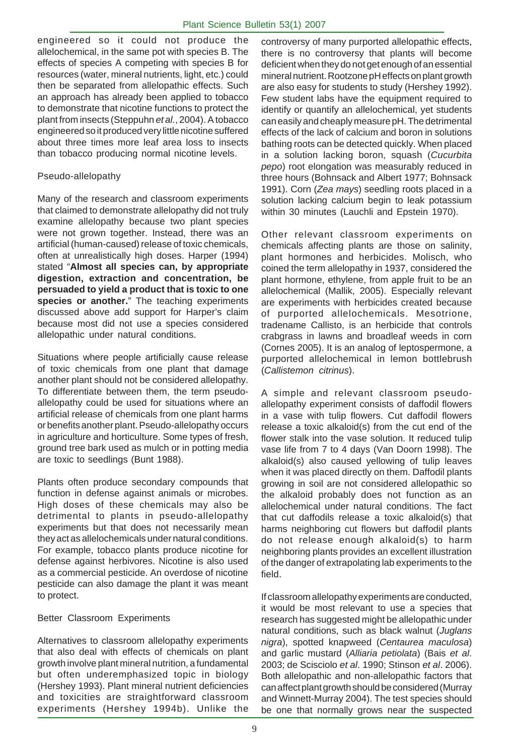engineered so it could not produce the allelochemical, in the same pot with species B. The effects of species A competing with species B for resources (water, mineral nutrients, light, etc.) could then be separated from allelopathic effects. Such an approach has already been applied to tobacco to demonstrate that nicotine functions to protect the plant from insects (Steppuhn *et al.*, 2004). A tobacco engineered so it produced very little nicotine suffered about three times more leaf area loss to insects than tobacco producing normal nicotine levels.

#### Pseudo-allelopathy

Many of the research and classroom experiments that claimed to demonstrate allelopathy did not truly examine allelopathy because two plant species were not grown together. Instead, there was an artificial (human-caused) release of toxic chemicals, often at unrealistically high doses. Harper (1994) stated "**Almost all species can, by appropriate digestion, extraction and concentration, be persuaded to yield a product that is toxic to one species or another.**" The teaching experiments discussed above add support for Harper's claim because most did not use a species considered allelopathic under natural conditions.

Situations where people artificially cause release of toxic chemicals from one plant that damage another plant should not be considered allelopathy. To differentiate between them, the term pseudoallelopathy could be used for situations where an artificial release of chemicals from one plant harms or benefits another plant. Pseudo-allelopathy occurs in agriculture and horticulture. Some types of fresh, ground tree bark used as mulch or in potting media are toxic to seedlings (Bunt 1988).

Plants often produce secondary compounds that function in defense against animals or microbes. High doses of these chemicals may also be detrimental to plants in pseudo-allelopathy experiments but that does not necessarily mean they act as allelochemicals under natural conditions. For example, tobacco plants produce nicotine for defense against herbivores. Nicotine is also used as a commercial pesticide. An overdose of nicotine pesticide can also damage the plant it was meant to protect.

#### Better Classroom Experiments

Alternatives to classroom allelopathy experiments that also deal with effects of chemicals on plant growth involve plant mineral nutrition, a fundamental but often underemphasized topic in biology (Hershey 1993). Plant mineral nutrient deficiencies and toxicities are straightforward classroom experiments (Hershey 1994b). Unlike the

controversy of many purported allelopathic effects, there is no controversy that plants will become deficient when they do not get enough of an essential mineral nutrient. Rootzone pH effects on plant growth are also easy for students to study (Hershey 1992). Few student labs have the equipment required to identify or quantify an allelochemical, yet students can easily and cheaply measure pH. The detrimental effects of the lack of calcium and boron in solutions bathing roots can be detected quickly. When placed in a solution lacking boron, squash (*Cucurbita pepo*) root elongation was measurably reduced in three hours (Bohnsack and Albert 1977; Bohnsack 1991). Corn (*Zea mays*) seedling roots placed in a solution lacking calcium begin to leak potassium within 30 minutes (Lauchli and Epstein 1970).

Other relevant classroom experiments on chemicals affecting plants are those on salinity, plant hormones and herbicides. Molisch, who coined the term allelopathy in 1937, considered the plant hormone, ethylene, from apple fruit to be an allelochemical (Mallik, 2005). Especially relevant are experiments with herbicides created because of purported allelochemicals. Mesotrione, tradename Callisto, is an herbicide that controls crabgrass in lawns and broadleaf weeds in corn (Cornes 2005). It is an analog of leptospermone, a purported allelochemical in lemon bottlebrush (*Callistemon citrinus*).

A simple and relevant classroom pseudoallelopathy experiment consists of daffodil flowers in a vase with tulip flowers. Cut daffodil flowers release a toxic alkaloid(s) from the cut end of the flower stalk into the vase solution. It reduced tulip vase life from 7 to 4 days (Van Doorn 1998). The alkaloid(s) also caused yellowing of tulip leaves when it was placed directly on them. Daffodil plants growing in soil are not considered allelopathic so the alkaloid probably does not function as an allelochemical under natural conditions. The fact that cut daffodils release a toxic alkaloid(s) that harms neighboring cut flowers but daffodil plants do not release enough alkaloid(s) to harm neighboring plants provides an excellent illustration of the danger of extrapolating lab experiments to the field.

If classroom allelopathy experiments are conducted, it would be most relevant to use a species that research has suggested might be allelopathic under natural conditions, such as black walnut (*Juglans nigra*), spotted knapweed (*Centaurea maculosa*) and garlic mustard (*Alliaria petiolata*) (Bais *et al*. 2003; de Scisciolo *et al*. 1990; Stinson *et al*. 2006). Both allelopathic and non-allelopathic factors that can affect plant growth should be considered (Murray and Winnett-Murray 2004). The test species should be one that normally grows near the suspected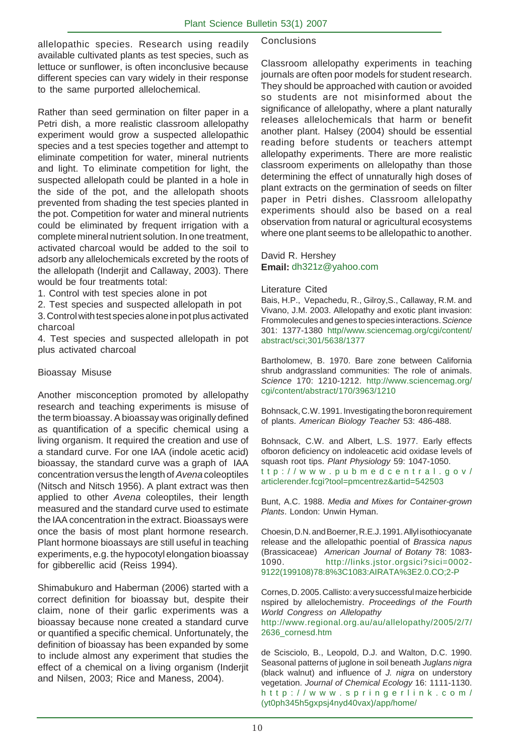allelopathic species. Research using readily available cultivated plants as test species, such as lettuce or sunflower, is often inconclusive because different species can vary widely in their response to the same purported allelochemical.

Rather than seed germination on filter paper in a Petri dish, a more realistic classroom allelopathy experiment would grow a suspected allelopathic species and a test species together and attempt to eliminate competition for water, mineral nutrients and light. To eliminate competition for light, the suspected allelopath could be planted in a hole in the side of the pot, and the allelopath shoots prevented from shading the test species planted in the pot. Competition for water and mineral nutrients could be eliminated by frequent irrigation with a complete mineral nutrient solution. In one treatment, activated charcoal would be added to the soil to adsorb any allelochemicals excreted by the roots of the allelopath (Inderjit and Callaway, 2003). There would be four treatments total:

1. Control with test species alone in pot

2. Test species and suspected allelopath in pot

3. Control with test species alone in pot plus activated charcoal

4. Test species and suspected allelopath in pot plus activated charcoal

#### Bioassay Misuse

Another misconception promoted by allelopathy research and teaching experiments is misuse of the term bioassay. A bioassay was originally defined as quantification of a specific chemical using a living organism. It required the creation and use of a standard curve. For one IAA (indole acetic acid) bioassay, the standard curve was a graph of IAA concentration versus the length of *Avena* coleoptiles (Nitsch and Nitsch 1956). A plant extract was then applied to other *Avena* coleoptiles, their length measured and the standard curve used to estimate the IAA concentration in the extract. Bioassays were once the basis of most plant hormone research. Plant hormone bioassays are still useful in teaching experiments, e.g. the hypocotyl elongation bioassay for gibberellic acid (Reiss 1994).

Shimabukuro and Haberman (2006) started with a correct definition for bioassay but, despite their claim, none of their garlic experiments was a bioassay because none created a standard curve or quantified a specific chemical. Unfortunately, the definition of bioassay has been expanded by some to include almost any experiment that studies the effect of a chemical on a living organism (Inderjit and Nilsen, 2003; Rice and Maness, 2004).

#### **Conclusions**

Classroom allelopathy experiments in teaching journals are often poor models for student research. They should be approached with caution or avoided so students are not misinformed about the significance of allelopathy, where a plant naturally releases allelochemicals that harm or benefit another plant. Halsey (2004) should be essential reading before students or teachers attempt allelopathy experiments. There are more realistic classroom experiments on allelopathy than those determining the effect of unnaturally high doses of plant extracts on the germination of seeds on filter paper in Petri dishes. Classroom allelopathy experiments should also be based on a real observation from natural or agricultural ecosystems where one plant seems to be allelopathic to another.

David R. Hershey **Email:** dh321z@yahoo.com

#### Literature Cited

Bais, H.P., Vepachedu, R., Gilroy,S., Callaway, R.M. and Vivano, J.M. 2003. Allelopathy and exotic plant invasion: Frommolecules and genes to species interactions. *Science* 301: 1377-1380 http//www.sciencemag.org/cgi/content/ abstract/sci;301/5638/1377

Bartholomew, B. 1970. Bare zone between California shrub andgrassland communities: The role of animals. *Science* 170: 1210-1212. http://www.sciencemag.org/ cgi/content/abstract/170/3963/1210

Bohnsack, C.W. 1991. Investigating the boron requirement of plants. *American Biology Teacher* 53: 486-488.

Bohnsack, C.W. and Albert, L.S. 1977. Early effects ofboron deficiency on indoleacetic acid oxidase levels of squash root tips. *Plant Physiology* 59: 1047-1050. ttp://www.pubmedcentral.gov/ articlerender.fcgi?tool=pmcentrez&artid=542503

Bunt, A.C. 1988. *Media and Mixes for Container-grown Plants*. London: Unwin Hyman.

Choesin, D.N. and Boerner, R.E.J. 1991. Allyl isothiocyanate release and the allelopathic poential of *Brassica napus* (Brassicaceae) *American Journal of Botany* 78: 1083- 1090. http://links.jstor.orgsici?sici=0002- 9122(199108)78:8%3C1083:AIRATA%3E2.0.CO;2-P

Cornes, D. 2005. Callisto: a very successful maize herbicide nspired by allelochemistry. *Proceedings of the Fourth World Congress on Allelopathy* http://www.regional.org.au/au/allelopathy/2005/2/7/ 2636\_cornesd.htm

de Scisciolo, B., Leopold, D.J. and Walton, D.C. 1990. Seasonal patterns of juglone in soil beneath *Juglans nigra* (black walnut) and influence of *J. nigra* on understory vegetation. *Journal of Chemical Ecology* 16: 1111-1130. http://www.springerlink.com/ (yt0ph345h5gxpsj4nyd40vax)/app/home/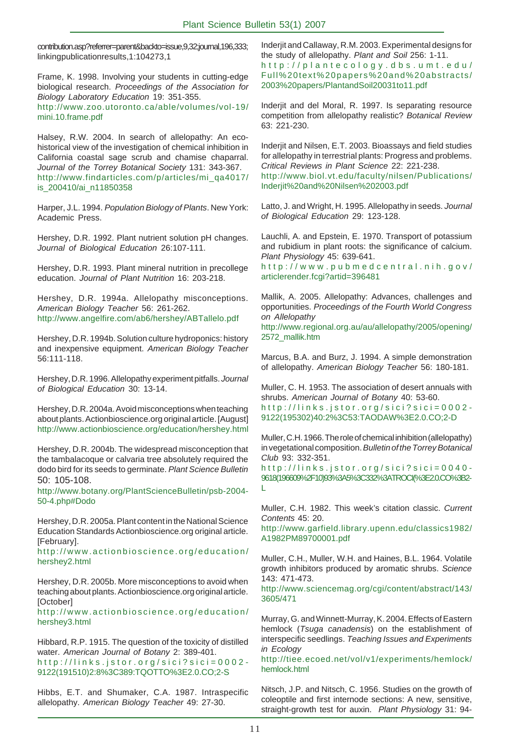contribution.asp?referrer=parent&backto=issue,9,32;journal,196,333; linkingpublicationresults,1:104273,1

Frame, K. 1998. Involving your students in cutting-edge biological research. *Proceedings of the Association for Biology Laboratory Education* 19: 351-355. http://www.zoo.utoronto.ca/able/volumes/vol-19/ mini.10.frame.pdf

Halsey, R.W. 2004. In search of allelopathy: An ecohistorical view of the investigation of chemical inhibition in California coastal sage scrub and chamise chaparral. *Journal of the Torrey Botanical Society* 131: 343-367. http://www.findarticles.com/p/articles/mi\_qa4017/ is\_200410/ai\_n11850358

Harper, J.L. 1994. *Population Biology of Plants*. New York: Academic Press.

Hershey, D.R. 1992. Plant nutrient solution pH changes. *Journal of Biological Education* 26:107-111.

Hershey, D.R. 1993. Plant mineral nutrition in precollege education. *Journal of Plant Nutrition* 16: 203-218.

Hershey, D.R. 1994a. Allelopathy misconceptions. *American Biology Teacher* 56: 261-262. http://www.angelfire.com/ab6/hershey/ABTallelo.pdf

Hershey, D.R. 1994b. Solution culture hydroponics: history and inexpensive equipment. *American Biology Teacher* 56:111-118.

Hershey, D.R. 1996. Allelopathy experiment pitfalls. *Journal of Biological Education* 30: 13-14.

Hershey, D.R. 2004a. Avoid misconceptions when teaching about plants. Actionbioscience.org original article. [August] http://www.actionbioscience.org/education/hershey.html

Hershey, D.R. 2004b. The widespread misconception that the tambalacoque or calvaria tree absolutely required the dodo bird for its seeds to germinate. *Plant Science Bulletin* 50: 105-108.

http://www.botany.org/PlantScienceBulletin/psb-2004- 50-4.php#Dodo

Hershey, D.R. 2005a. Plant content in the National Science Education Standards Actionbioscience.org original article. [February].

http://www.actionbioscience.org/education/ hershey2.html

Hershey, D.R. 2005b. More misconceptions to avoid when teaching about plants. Actionbioscience.org original article. [October]

http://www.actionbioscience.org/education/ hershey3.html

Hibbard, R.P. 1915. The question of the toxicity of distilled water. *American Journal of Botany* 2: 389-401. http://links.jstor.org/sici?sici=0002- 9122(191510)2:8%3C389:TQOTTO%3E2.0.CO;2-S

Hibbs, E.T. and Shumaker, C.A. 1987. Intraspecific allelopathy. *American Biology Teacher* 49: 27-30.

Inderjit and Callaway, R.M. 2003. Experimental designs for the study of allelopathy. *Plant and Soil* 256: 1-11. http://plantecology.dbs.umt.edu/ Full%20text%20papers%20and%20abstracts/ 2003%20papers/PlantandSoil20031to11.pdf

Inderjit and del Moral, R. 1997. Is separating resource competition from allelopathy realistic? *Botanical Review* 63: 221-230.

Inderjit and Nilsen, E.T. 2003. Bioassays and field studies for allelopathy in terrestrial plants: Progress and problems. *Critical Reviews in Plant Science* 22: 221-238. http://www.biol.vt.edu/faculty/nilsen/Publications/ Inderjit%20and%20Nilsen%202003.pdf

Latto, J. and Wright, H. 1995. Allelopathy in seeds. *Journal of Biological Education* 29: 123-128.

Lauchli, A. and Epstein, E. 1970. Transport of potassium and rubidium in plant roots: the significance of calcium. *Plant Physiology* 45: 639-641.

http://www.pubmedcentral.nih.gov/ articlerender.fcgi?artid=396481

Mallik, A. 2005. Allelopathy: Advances, challenges and opportunities. *Proceedings of the Fourth World Congress on Allelopathy*

http://www.regional.org.au/au/allelopathy/2005/opening/ 2572\_mallik.htm

Marcus, B.A. and Burz, J. 1994. A simple demonstration of allelopathy. *American Biology Teacher* 56: 180-181.

Muller, C. H. 1953. The association of desert annuals with shrubs. *American Journal of Botany* 40: 53-60.

http://links.jstor.org/sici?sici=0002- 9122(195302)40:2%3C53:TAODAW%3E2.0.CO;2-D

Muller, C.H. 1966. The role of chemical inhibition (allelopathy) in vegetational composition. *Bulletin of the Torrey Botanical Club* 93: 332-351.

http://links.jstor.org/sici?sici=0040- 9618(196609%2F10)93%3A5%3C332%3ATROCI(%3E2.0.CO%3B2- L

Muller, C.H. 1982. This week's citation classic. *Current Contents* 45: 20.

http://www.garfield.library.upenn.edu/classics1982/ A1982PM89700001.pdf

Muller, C.H., Muller, W.H. and Haines, B.L. 1964. Volatile growth inhibitors produced by aromatic shrubs. *Science* 143: 471-473.

http://www.sciencemag.org/cgi/content/abstract/143/ 3605/471

Murray, G. and Winnett-Murray, K. 2004. Effects of Eastern hemlock (*Tsuga canadensis*) on the establishment of interspecific seedlings. *Teaching Issues and Experiments in Ecology*

http://tiee.ecoed.net/vol/v1/experiments/hemlock/ hemlock.html

Nitsch, J.P. and Nitsch, C. 1956. Studies on the growth of coleoptile and first internode sections: A new, sensitive, straight-growth test for auxin. *Plant Physiology* 31: 94-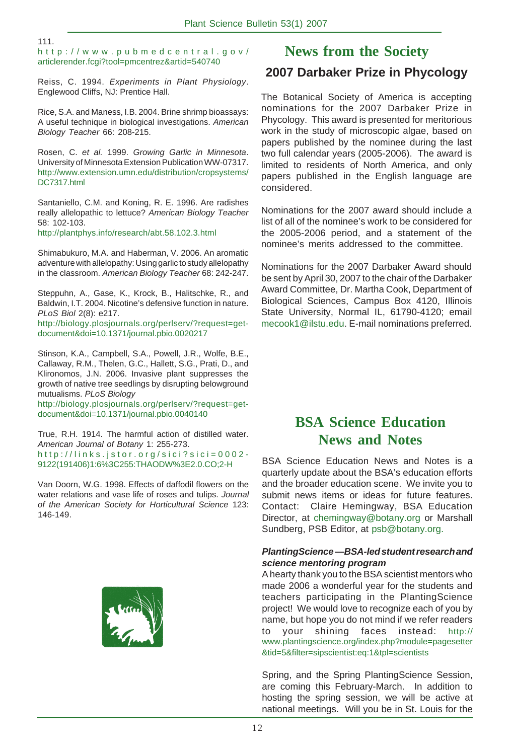#### 111.

http://www.pubmedcentral.gov/ articlerender.fcgi?tool=pmcentrez&artid=540740

Reiss, C. 1994. *Experiments in Plant Physiology*. Englewood Cliffs, NJ: Prentice Hall.

Rice, S.A. and Maness, I.B. 2004. Brine shrimp bioassays: A useful technique in biological investigations. *American Biology Teacher* 66: 208-215.

Rosen, C. *et al.* 1999. *Growing Garlic in Minnesota*. University of Minnesota Extension Publication WW-07317. http://www.extension.umn.edu/distribution/cropsystems/ DC7317.html

Santaniello, C.M. and Koning, R. E. 1996. Are radishes really allelopathic to lettuce? *American Biology Teacher* 58: 102-103. http://plantphys.info/research/abt.58.102.3.html

Shimabukuro, M.A. and Haberman, V. 2006. An aromatic adventure with allelopathy: Using garlic to study allelopathy in the classroom. *American Biology Teacher* 68: 242-247.

Steppuhn, A., Gase, K., Krock, B., Halitschke, R., and Baldwin, I.T. 2004. Nicotine's defensive function in nature. *PLoS Biol* 2(8): e217.

http://biology.plosjournals.org/perlserv/?request=getdocument&doi=10.1371/journal.pbio.0020217

Stinson, K.A., Campbell, S.A., Powell, J.R., Wolfe, B.E., Callaway, R.M., Thelen, G.C., Hallett, S.G., Prati, D., and Klironomos, J.N. 2006. Invasive plant suppresses the growth of native tree seedlings by disrupting belowground mutualisms. *PLoS Biology*

http://biology.plosjournals.org/perlserv/?request=getdocument&doi=10.1371/journal.pbio.0040140

True, R.H. 1914. The harmful action of distilled water. *American Journal of Botany* 1: 255-273. http://links.jstor.org/sici?sici=0002- 9122(191406)1:6%3C255:THAODW%3E2.0.CO;2-H

Van Doorn, W.G. 1998. Effects of daffodil flowers on the water relations and vase life of roses and tulips. *Journal of the American Society for Horticultural Science* 123: 146-149.



## **News from the Society**

## **2007 Darbaker Prize in Phycology**

The Botanical Society of America is accepting nominations for the 2007 Darbaker Prize in Phycology. This award is presented for meritorious work in the study of microscopic algae, based on papers published by the nominee during the last two full calendar years (2005-2006). The award is limited to residents of North America, and only papers published in the English language are considered.

Nominations for the 2007 award should include a list of all of the nominee's work to be considered for the 2005-2006 period, and a statement of the nominee's merits addressed to the committee.

Nominations for the 2007 Darbaker Award should be sent by April 30, 2007 to the chair of the Darbaker Award Committee, Dr. Martha Cook, Department of Biological Sciences, Campus Box 4120, Illinois State University, Normal IL, 61790-4120; email mecook1@ilstu.edu. E-mail nominations preferred.

# **BSA Science Education News and Notes**

BSA Science Education News and Notes is a quarterly update about the BSA's education efforts and the broader education scene. We invite you to submit news items or ideas for future features. Contact: Claire Hemingway, BSA Education Director, at chemingway@botany.org or Marshall Sundberg, PSB Editor, at psb@botany.org.

#### *PlantingScience* **—***BSA-led student research and science mentoring program*

A hearty thank you to the BSA scientist mentors who made 2006 a wonderful year for the students and teachers participating in the PlantingScience project! We would love to recognize each of you by name, but hope you do not mind if we refer readers to your shining faces instead: http:// www.plantingscience.org/index.php?module=pagesetter &tid=5&filter=sipscientist:eq:1&tpl=scientists

Spring, and the Spring PlantingScience Session, are coming this February-March. In addition to hosting the spring session, we will be active at national meetings. Will you be in St. Louis for the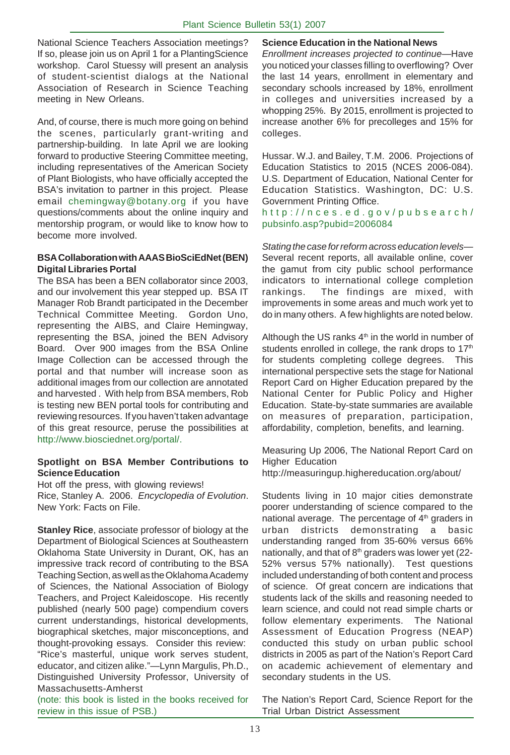National Science Teachers Association meetings? If so, please join us on April 1 for a PlantingScience workshop. Carol Stuessy will present an analysis of student-scientist dialogs at the National Association of Research in Science Teaching meeting in New Orleans.

And, of course, there is much more going on behind the scenes, particularly grant-writing and partnership-building. In late April we are looking forward to productive Steering Committee meeting, including representatives of the American Society of Plant Biologists, who have officially accepted the BSA's invitation to partner in this project. Please email chemingway@botany.org if you have questions/comments about the online inquiry and mentorship program, or would like to know how to become more involved.

#### **BSA Collaboration with AAAS BioSciEdNet (BEN) Digital Libraries Portal**

The BSA has been a BEN collaborator since 2003, and our involvement this year stepped up. BSA IT Manager Rob Brandt participated in the December Technical Committee Meeting. Gordon Uno, representing the AIBS, and Claire Hemingway, representing the BSA, joined the BEN Advisory Board. Over 900 images from the BSA Online Image Collection can be accessed through the portal and that number will increase soon as additional images from our collection are annotated and harvested . With help from BSA members, Rob is testing new BEN portal tools for contributing and reviewing resources. If you haven't taken advantage of this great resource, peruse the possibilities at http://www.biosciednet.org/portal/.

#### **Spotlight on BSA Member Contributions to Science Education**

Hot off the press, with glowing reviews! Rice, Stanley A. 2006. *Encyclopedia of Evolution*. New York: Facts on File.

**Stanley Rice**, associate professor of biology at the Department of Biological Sciences at Southeastern Oklahoma State University in Durant, OK, has an impressive track record of contributing to the BSA Teaching Section, as well as the Oklahoma Academy of Sciences, the National Association of Biology Teachers, and Project Kaleidoscope. His recently published (nearly 500 page) compendium covers current understandings, historical developments, biographical sketches, major misconceptions, and thought-provoking essays. Consider this review: "Rice's masterful, unique work serves student, educator, and citizen alike."—Lynn Margulis, Ph.D., Distinguished University Professor, University of Massachusetts-Amherst

(note: this book is listed in the books received for review in this issue of PSB.)

#### **Science Education in the National News**

*Enrollment increases projected to continue*—Have you noticed your classes filling to overflowing? Over the last 14 years, enrollment in elementary and secondary schools increased by 18%, enrollment in colleges and universities increased by a whopping 25%. By 2015, enrollment is projected to increase another 6% for precolleges and 15% for colleges.

Hussar. W.J. and Bailey, T.M. 2006. Projections of Education Statistics to 2015 (NCES 2006-084). U.S. Department of Education, National Center for Education Statistics. Washington, DC: U.S. Government Printing Office.

http://nces.ed.gov/pubsearch/ pubsinfo.asp?pubid=2006084

*Stating the case for reform across education levels*— Several recent reports, all available online, cover the gamut from city public school performance indicators to international college completion rankings. The findings are mixed, with improvements in some areas and much work yet to do in many others. A few highlights are noted below.

Although the US ranks  $4<sup>th</sup>$  in the world in number of students enrolled in college, the rank drops to  $17<sup>th</sup>$ for students completing college degrees. This international perspective sets the stage for National Report Card on Higher Education prepared by the National Center for Public Policy and Higher Education. State-by-state summaries are available on measures of preparation, participation, affordability, completion, benefits, and learning.

Measuring Up 2006, The National Report Card on Higher Education

http://measuringup.highereducation.org/about/

Students living in 10 major cities demonstrate poorer understanding of science compared to the national average. The percentage of  $4<sup>th</sup>$  graders in urban districts demonstrating a basic understanding ranged from 35-60% versus 66% nationally, and that of 8<sup>th</sup> graders was lower yet (22-52% versus 57% nationally). Test questions included understanding of both content and process of science. Of great concern are indications that students lack of the skills and reasoning needed to learn science, and could not read simple charts or follow elementary experiments. The National Assessment of Education Progress (NEAP) conducted this study on urban public school districts in 2005 as part of the Nation's Report Card on academic achievement of elementary and secondary students in the US.

The Nation's Report Card, Science Report for the Trial Urban District Assessment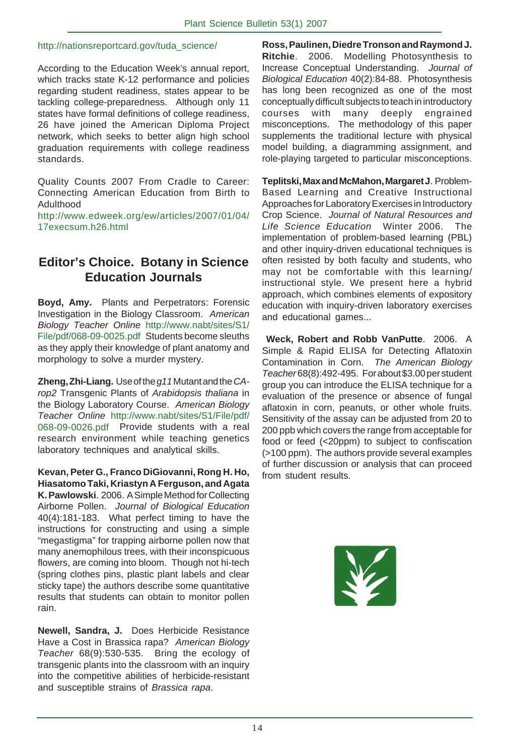#### http://nationsreportcard.gov/tuda\_science/

According to the Education Week's annual report, which tracks state K-12 performance and policies regarding student readiness, states appear to be tackling college-preparedness. Although only 11 states have formal definitions of college readiness, 26 have joined the American Diploma Project network, which seeks to better align high school graduation requirements with college readiness standards.

Quality Counts 2007 From Cradle to Career: Connecting American Education from Birth to Adulthood

http://www.edweek.org/ew/articles/2007/01/04/ 17execsum.h26.html

## **Editor's Choice. Botany in Science Education Journals**

**Boyd, Amy.** Plants and Perpetrators: Forensic Investigation in the Biology Classroom. *American Biology Teacher Online* http://www.nabt/sites/S1/ File/pdf/068-09-0025.pdf Students become sleuths as they apply their knowledge of plant anatomy and morphology to solve a murder mystery.

**Zheng, Zhi-Liang.** Use of the *g11* Mutant and the *CArop2* Transgenic Plants of *Arabidopsis thaliana* in the Biology Laboratory Course. *American Biology Teacher Online* http://www.nabt/sites/S1/File/pdf/ 068-09-0026.pdf Provide students with a real research environment while teaching genetics laboratory techniques and analytical skills.

**Kevan, Peter G., Franco DiGiovanni, Rong H. Ho, Hiasatomo Taki, Kriastyn A Ferguson, and Agata K. Pawlowski**. 2006. A Simple Method for Collecting Airborne Pollen. *Journal of Biological Education* 40(4):181-183. What perfect timing to have the instructions for constructing and using a simple "megastigma" for trapping airborne pollen now that many anemophilous trees, with their inconspicuous flowers, are coming into bloom. Though not hi-tech (spring clothes pins, plastic plant labels and clear sticky tape) the authors describe some quantitative results that students can obtain to monitor pollen rain.

**Newell, Sandra, J.** Does Herbicide Resistance Have a Cost in Brassica rapa? *American Biology Teacher* 68(9):530-535. Bring the ecology of transgenic plants into the classroom with an inquiry into the competitive abilities of herbicide-resistant and susceptible strains of *Brassica rapa*.

**Ross, Paulinen, Diedre Tronson and Raymond J. Ritchie**. 2006. Modelling Photosynthesis to Increase Conceptual Understanding. *Journal of Biological Education* 40(2):84-88. Photosynthesis has long been recognized as one of the most conceptually difficult subjects to teach in introductory courses with many deeply engrained misconceptions. The methodology of this paper supplements the traditional lecture with physical model building, a diagramming assignment, and role-playing targeted to particular misconceptions.

**Teplitski, Max and McMahon, Margaret J**. Problem-Based Learning and Creative Instructional Approaches for Laboratory Exercises in Introductory Crop Science. *Journal of Natural Resources and Life Science Education* Winter 2006. The implementation of problem-based learning (PBL) and other inquiry-driven educational techniques is often resisted by both faculty and students, who may not be comfortable with this learning/ instructional style. We present here a hybrid approach, which combines elements of expository education with inquiry-driven laboratory exercises and educational games...

**Weck, Robert and Robb VanPutte**. 2006. A Simple & Rapid ELISA for Detecting Aflatoxin Contamination in Corn. *The American Biology Teacher* 68(8):492-495. For about \$3.00 per student group you can introduce the ELISA technique for a evaluation of the presence or absence of fungal aflatoxin in corn, peanuts, or other whole fruits. Sensitivity of the assay can be adjusted from 20 to 200 ppb which covers the range from acceptable for food or feed (<20ppm) to subject to confiscation (>100 ppm). The authors provide several examples of further discussion or analysis that can proceed from student results.

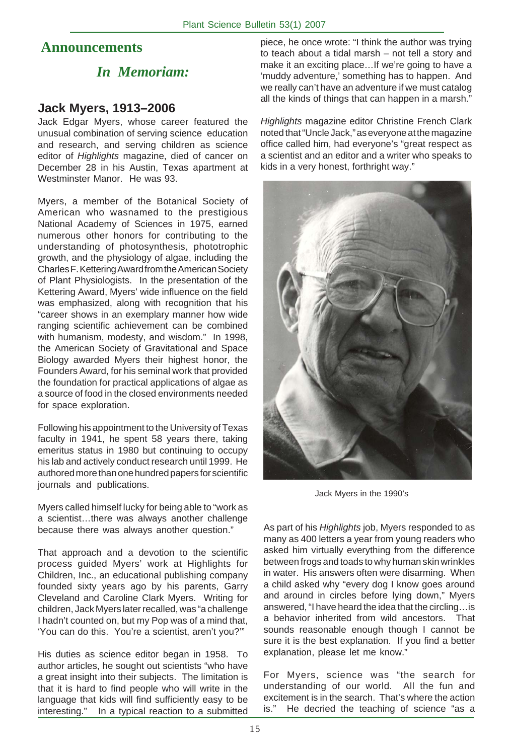## **Announcements**

# *In Memoriam:*

## **Jack Myers, 1913–2006**

Jack Edgar Myers, whose career featured the unusual combination of serving science education and research, and serving children as science editor of *Highlights* magazine, died of cancer on December 28 in his Austin, Texas apartment at Westminster Manor. He was 93.

Myers, a member of the Botanical Society of American who wasnamed to the prestigious National Academy of Sciences in 1975, earned numerous other honors for contributing to the understanding of photosynthesis, phototrophic growth, and the physiology of algae, including the Charles F. Kettering Award from the American Society of Plant Physiologists. In the presentation of the Kettering Award, Myers' wide influence on the field was emphasized, along with recognition that his "career shows in an exemplary manner how wide ranging scientific achievement can be combined with humanism, modesty, and wisdom." In 1998, the American Society of Gravitational and Space Biology awarded Myers their highest honor, the Founders Award, for his seminal work that provided the foundation for practical applications of algae as a source of food in the closed environments needed for space exploration.

Following his appointment to the University of Texas faculty in 1941, he spent 58 years there, taking emeritus status in 1980 but continuing to occupy his lab and actively conduct research until 1999. He authored more than one hundred papers for scientific journals and publications.

Myers called himself lucky for being able to "work as a scientist…there was always another challenge because there was always another question."

That approach and a devotion to the scientific process guided Myers' work at Highlights for Children, Inc., an educational publishing company founded sixty years ago by his parents, Garry Cleveland and Caroline Clark Myers. Writing for children, Jack Myers later recalled, was "a challenge I hadn't counted on, but my Pop was of a mind that, 'You can do this. You're a scientist, aren't you?'"

His duties as science editor began in 1958. To author articles, he sought out scientists "who have a great insight into their subjects. The limitation is that it is hard to find people who will write in the language that kids will find sufficiently easy to be interesting." In a typical reaction to a submitted piece, he once wrote: "I think the author was trying to teach about a tidal marsh – not tell a story and make it an exciting place…If we're going to have a 'muddy adventure,' something has to happen. And we really can't have an adventure if we must catalog all the kinds of things that can happen in a marsh."

*Highlights* magazine editor Christine French Clark noted that "Uncle Jack," as everyone at the magazine office called him, had everyone's "great respect as a scientist and an editor and a writer who speaks to kids in a very honest, forthright way."



Jack Myers in the 1990's

As part of his *Highlights* job, Myers responded to as many as 400 letters a year from young readers who asked him virtually everything from the difference between frogs and toads to why human skin wrinkles in water. His answers often were disarming. When a child asked why "every dog I know goes around and around in circles before lying down," Myers answered, "I have heard the idea that the circling…is a behavior inherited from wild ancestors. That sounds reasonable enough though I cannot be sure it is the best explanation. If you find a better explanation, please let me know."

For Myers, science was "the search for understanding of our world. All the fun and excitement is in the search. That's where the action is." He decried the teaching of science "as a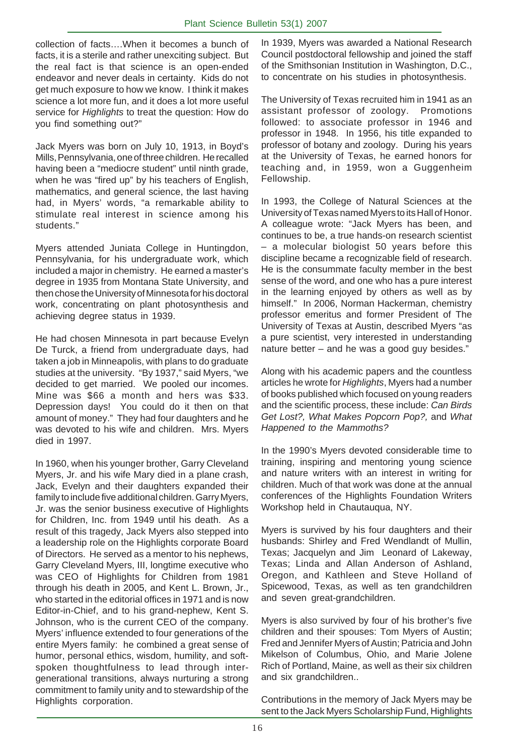collection of facts….When it becomes a bunch of facts, it is a sterile and rather unexciting subject. But the real fact is that science is an open-ended endeavor and never deals in certainty. Kids do not get much exposure to how we know. I think it makes science a lot more fun, and it does a lot more useful service for *Highlights* to treat the question: How do you find something out?"

Jack Myers was born on July 10, 1913, in Boyd's Mills, Pennsylvania, one of three children. He recalled having been a "mediocre student" until ninth grade, when he was "fired up" by his teachers of English, mathematics, and general science, the last having had, in Myers' words, "a remarkable ability to stimulate real interest in science among his students."

Myers attended Juniata College in Huntingdon, Pennsylvania, for his undergraduate work, which included a major in chemistry. He earned a master's degree in 1935 from Montana State University, and then chose the University of Minnesota for his doctoral work, concentrating on plant photosynthesis and achieving degree status in 1939.

He had chosen Minnesota in part because Evelyn De Turck, a friend from undergraduate days, had taken a job in Minneapolis, with plans to do graduate studies at the university. "By 1937," said Myers, "we decided to get married. We pooled our incomes. Mine was \$66 a month and hers was \$33. Depression days! You could do it then on that amount of money." They had four daughters and he was devoted to his wife and children. Mrs. Myers died in 1997.

In 1960, when his younger brother, Garry Cleveland Myers, Jr. and his wife Mary died in a plane crash, Jack, Evelyn and their daughters expanded their family to include five additional children. Garry Myers, Jr. was the senior business executive of Highlights for Children, Inc. from 1949 until his death. As a result of this tragedy, Jack Myers also stepped into a leadership role on the Highlights corporate Board of Directors. He served as a mentor to his nephews, Garry Cleveland Myers, III, longtime executive who was CEO of Highlights for Children from 1981 through his death in 2005, and Kent L. Brown, Jr., who started in the editorial offices in 1971 and is now Editor-in-Chief, and to his grand-nephew, Kent S. Johnson, who is the current CEO of the company. Myers' influence extended to four generations of the entire Myers family: he combined a great sense of humor, personal ethics, wisdom, humility, and softspoken thoughtfulness to lead through intergenerational transitions, always nurturing a strong commitment to family unity and to stewardship of the Highlights corporation.

In 1939, Myers was awarded a National Research Council postdoctoral fellowship and joined the staff of the Smithsonian Institution in Washington, D.C., to concentrate on his studies in photosynthesis.

The University of Texas recruited him in 1941 as an assistant professor of zoology. Promotions followed: to associate professor in 1946 and professor in 1948. In 1956, his title expanded to professor of botany and zoology. During his years at the University of Texas, he earned honors for teaching and, in 1959, won a Guggenheim Fellowship.

In 1993, the College of Natural Sciences at the University of Texas named Myers to its Hall of Honor. A colleague wrote: "Jack Myers has been, and continues to be, a true hands-on research scientist – a molecular biologist 50 years before this discipline became a recognizable field of research. He is the consummate faculty member in the best sense of the word, and one who has a pure interest in the learning enjoyed by others as well as by himself." In 2006, Norman Hackerman, chemistry professor emeritus and former President of The University of Texas at Austin, described Myers "as a pure scientist, very interested in understanding nature better – and he was a good guy besides."

Along with his academic papers and the countless articles he wrote for *Highlights*, Myers had a number of books published which focused on young readers and the scientific process, these include: *Can Birds Get Lost?, What Makes Popcorn Pop?,* and *What Happened to the Mammoths?*

In the 1990's Myers devoted considerable time to training, inspiring and mentoring young science and nature writers with an interest in writing for children. Much of that work was done at the annual conferences of the Highlights Foundation Writers Workshop held in Chautauqua, NY.

Myers is survived by his four daughters and their husbands: Shirley and Fred Wendlandt of Mullin, Texas; Jacquelyn and Jim Leonard of Lakeway, Texas; Linda and Allan Anderson of Ashland, Oregon, and Kathleen and Steve Holland of Spicewood, Texas, as well as ten grandchildren and seven great-grandchildren.

Myers is also survived by four of his brother's five children and their spouses: Tom Myers of Austin; Fred and Jennifer Myers of Austin; Patricia and John Mikelson of Columbus, Ohio, and Marie Jolene Rich of Portland, Maine, as well as their six children and six grandchildren..

Contributions in the memory of Jack Myers may be sent to the Jack Myers Scholarship Fund, Highlights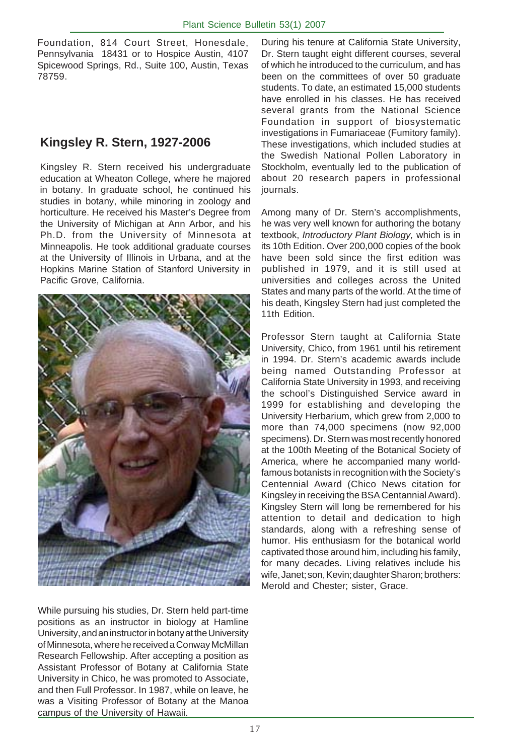Foundation, 814 Court Street, Honesdale, Pennsylvania 18431 or to Hospice Austin, 4107 Spicewood Springs, Rd., Suite 100, Austin, Texas 78759.

## **Kingsley R. Stern, 1927-2006**

Kingsley R. Stern received his undergraduate education at Wheaton College, where he majored in botany. In graduate school, he continued his studies in botany, while minoring in zoology and horticulture. He received his Master's Degree from the University of Michigan at Ann Arbor, and his Ph.D. from the University of Minnesota at Minneapolis. He took additional graduate courses at the University of Illinois in Urbana, and at the Hopkins Marine Station of Stanford University in Pacific Grove, California.



While pursuing his studies, Dr. Stern held part-time positions as an instructor in biology at Hamline University, and an instructor in botany at the University of Minnesota, where he received a Conway McMillan Research Fellowship. After accepting a position as Assistant Professor of Botany at California State University in Chico, he was promoted to Associate, and then Full Professor. In 1987, while on leave, he was a Visiting Professor of Botany at the Manoa campus of the University of Hawaii.

During his tenure at California State University, Dr. Stern taught eight different courses, several of which he introduced to the curriculum, and has been on the committees of over 50 graduate students. To date, an estimated 15,000 students have enrolled in his classes. He has received several grants from the National Science Foundation in support of biosystematic investigations in Fumariaceae (Fumitory family). These investigations, which included studies at the Swedish National Pollen Laboratory in Stockholm, eventually led to the publication of about 20 research papers in professional journals.

Among many of Dr. Stern's accomplishments, he was very well known for authoring the botany textbook, *Introductory Plant Biology,* which is in its 10th Edition. Over 200,000 copies of the book have been sold since the first edition was published in 1979, and it is still used at universities and colleges across the United States and many parts of the world. At the time of his death, Kingsley Stern had just completed the 11th Edition.

Professor Stern taught at California State University, Chico, from 1961 until his retirement in 1994. Dr. Stern's academic awards include being named Outstanding Professor at California State University in 1993, and receiving the school's Distinguished Service award in 1999 for establishing and developing the University Herbarium, which grew from 2,000 to more than 74,000 specimens (now 92,000 specimens). Dr. Stern was most recently honored at the 100th Meeting of the Botanical Society of America, where he accompanied many worldfamous botanists in recognition with the Society's Centennial Award (Chico News citation for Kingsley in receiving the BSA Centannial Award). Kingsley Stern will long be remembered for his attention to detail and dedication to high standards, along with a refreshing sense of humor. His enthusiasm for the botanical world captivated those around him, including his family, for many decades. Living relatives include his wife, Janet; son, Kevin; daughter Sharon; brothers: Merold and Chester; sister, Grace.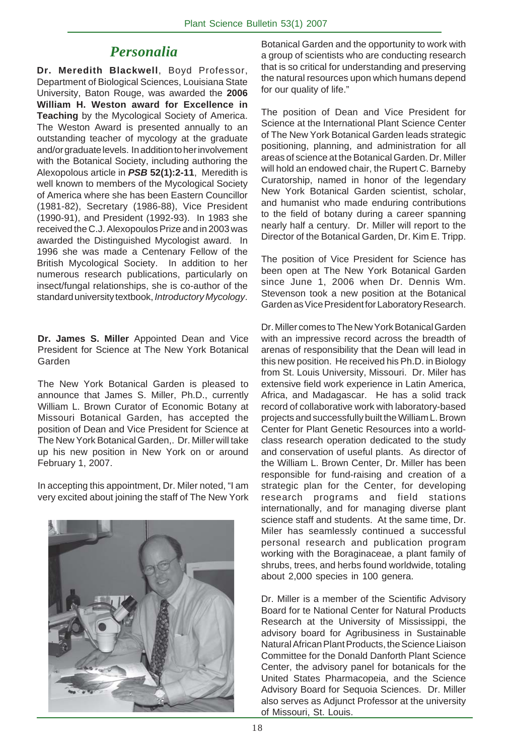# *Personalia*

**Dr. Meredith Blackwell**, Boyd Professor, Department of Biological Sciences, Louisiana State University, Baton Rouge, was awarded the **2006 William H. Weston award for Excellence in Teaching** by the Mycological Society of America. The Weston Award is presented annually to an outstanding teacher of mycology at the graduate and/or graduate levels. In addition to her involvement with the Botanical Society, including authoring the Alexopolous article in *PSB* **52(1):2-11**, Meredith is well known to members of the Mycological Society of America where she has been Eastern Councillor (1981-82), Secretary (1986-88), Vice President (1990-91), and President (1992-93). In 1983 she received the C.J. Alexopoulos Prize and in 2003 was awarded the Distinguished Mycologist award. In 1996 she was made a Centenary Fellow of the British Mycological Society. In addition to her numerous research publications, particularly on insect/fungal relationships, she is co-author of the standard university textbook, *Introductory Mycology*.

**Dr. James S. Miller** Appointed Dean and Vice President for Science at The New York Botanical Garden

The New York Botanical Garden is pleased to announce that James S. Miller, Ph.D., currently William L. Brown Curator of Economic Botany at Missouri Botanical Garden, has accepted the position of Dean and Vice President for Science at The New York Botanical Garden,. Dr. Miller will take up his new position in New York on or around February 1, 2007.

In accepting this appointment, Dr. Miler noted, "I am very excited about joining the staff of The New York



Botanical Garden and the opportunity to work with a group of scientists who are conducting research that is so critical for understanding and preserving the natural resources upon which humans depend for our quality of life."

The position of Dean and Vice President for Science at the International Plant Science Center of The New York Botanical Garden leads strategic positioning, planning, and administration for all areas of science at the Botanical Garden. Dr. Miller will hold an endowed chair, the Rupert C. Barneby Curatorship, named in honor of the legendary New York Botanical Garden scientist, scholar, and humanist who made enduring contributions to the field of botany during a career spanning nearly half a century. Dr. Miller will report to the Director of the Botanical Garden, Dr. Kim E. Tripp.

The position of Vice President for Science has been open at The New York Botanical Garden since June 1, 2006 when Dr. Dennis Wm. Stevenson took a new position at the Botanical Garden as Vice President for Laboratory Research.

Dr. Miller comes to The New York Botanical Garden with an impressive record across the breadth of arenas of responsibility that the Dean will lead in this new position. He received his Ph.D. in Biology from St. Louis University, Missouri. Dr. Miler has extensive field work experience in Latin America, Africa, and Madagascar. He has a solid track record of collaborative work with laboratory-based projects and successfully built the William L. Brown Center for Plant Genetic Resources into a worldclass research operation dedicated to the study and conservation of useful plants. As director of the William L. Brown Center, Dr. Miller has been responsible for fund-raising and creation of a strategic plan for the Center, for developing research programs and field stations internationally, and for managing diverse plant science staff and students. At the same time, Dr. Miler has seamlessly continued a successful personal research and publication program working with the Boraginaceae, a plant family of shrubs, trees, and herbs found worldwide, totaling about 2,000 species in 100 genera.

Dr. Miller is a member of the Scientific Advisory Board for te National Center for Natural Products Research at the University of Mississippi, the advisory board for Agribusiness in Sustainable Natural African Plant Products, the Science Liaison Committee for the Donald Danforth Plant Science Center, the advisory panel for botanicals for the United States Pharmacopeia, and the Science Advisory Board for Sequoia Sciences. Dr. Miller also serves as Adjunct Professor at the university of Missouri, St. Louis.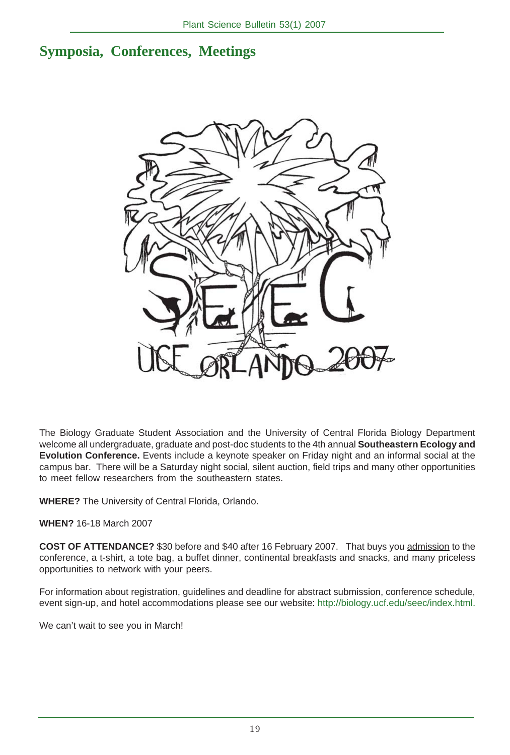## **Symposia, Conferences, Meetings**



The Biology Graduate Student Association and the University of Central Florida Biology Department welcome all undergraduate, graduate and post-doc students to the 4th annual **Southeastern Ecology and Evolution Conference.** Events include a keynote speaker on Friday night and an informal social at the campus bar. There will be a Saturday night social, silent auction, field trips and many other opportunities to meet fellow researchers from the southeastern states.

**WHERE?** The University of Central Florida, Orlando.

**WHEN?** 16-18 March 2007

**COST OF ATTENDANCE?** \$30 before and \$40 after 16 February 2007. That buys you admission to the conference, a t-shirt, a tote bag, a buffet dinner, continental breakfasts and snacks, and many priceless opportunities to network with your peers.

For information about registration, guidelines and deadline for abstract submission, conference schedule, event sign-up, and hotel accommodations please see our website: http://biology.ucf.edu/seec/index.html.

We can't wait to see you in March!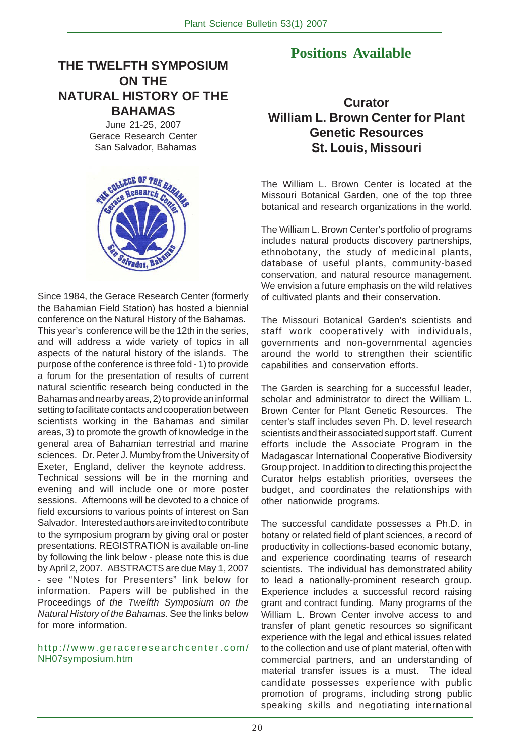## **THE TWELFTH SYMPOSIUM ON THE NATURAL HISTORY OF THE BAHAMAS**

June 21-25, 2007 Gerace Research Center San Salvador, Bahamas



Since 1984, the Gerace Research Center (formerly the Bahamian Field Station) has hosted a biennial conference on the Natural History of the Bahamas. This year's conference will be the 12th in the series, and will address a wide variety of topics in all aspects of the natural history of the islands. The purpose of the conference is three fold - 1) to provide a forum for the presentation of results of current natural scientific research being conducted in the Bahamas and nearby areas, 2) to provide an informal setting to facilitate contacts and cooperation between scientists working in the Bahamas and similar areas, 3) to promote the growth of knowledge in the general area of Bahamian terrestrial and marine sciences. Dr. Peter J. Mumby from the University of Exeter, England, deliver the keynote address. Technical sessions will be in the morning and evening and will include one or more poster sessions. Afternoons will be devoted to a choice of field excursions to various points of interest on San Salvador. Interested authors are invited to contribute to the symposium program by giving oral or poster presentations. REGISTRATION is available on-line by following the link below - please note this is due by April 2, 2007. ABSTRACTS are due May 1, 2007 - see "Notes for Presenters" link below for information. Papers will be published in the Proceedings *of the Twelfth Symposium on the Natural History of the Bahamas*. See the links below for more information.

#### http://www.geraceresearchcenter.com/ NH07symposium.htm

## **Positions Available**

## **Curator William L. Brown Center for Plant Genetic Resources St. Louis, Missouri**

The William L. Brown Center is located at the Missouri Botanical Garden, one of the top three botanical and research organizations in the world.

The William L. Brown Center's portfolio of programs includes natural products discovery partnerships, ethnobotany, the study of medicinal plants, database of useful plants, community-based conservation, and natural resource management. We envision a future emphasis on the wild relatives of cultivated plants and their conservation.

The Missouri Botanical Garden's scientists and staff work cooperatively with individuals, governments and non-governmental agencies around the world to strengthen their scientific capabilities and conservation efforts.

The Garden is searching for a successful leader, scholar and administrator to direct the William L. Brown Center for Plant Genetic Resources. The center's staff includes seven Ph. D. level research scientists and their associated support staff. Current efforts include the Associate Program in the Madagascar International Cooperative Biodiversity Group project. In addition to directing this project the Curator helps establish priorities, oversees the budget, and coordinates the relationships with other nationwide programs.

The successful candidate possesses a Ph.D. in botany or related field of plant sciences, a record of productivity in collections-based economic botany, and experience coordinating teams of research scientists. The individual has demonstrated ability to lead a nationally-prominent research group. Experience includes a successful record raising grant and contract funding. Many programs of the William L. Brown Center involve access to and transfer of plant genetic resources so significant experience with the legal and ethical issues related to the collection and use of plant material, often with commercial partners, and an understanding of material transfer issues is a must. The ideal candidate possesses experience with public promotion of programs, including strong public speaking skills and negotiating international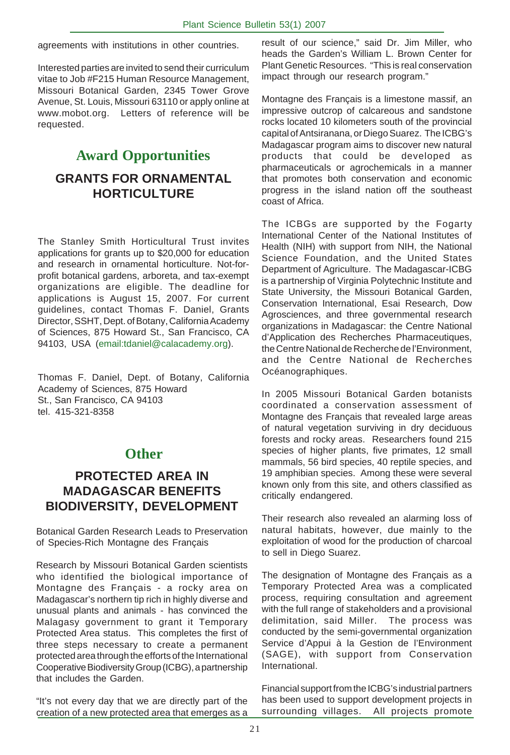agreements with institutions in other countries.

Interested parties are invited to send their curriculum vitae to Job #F215 Human Resource Management, Missouri Botanical Garden, 2345 Tower Grove Avenue, St. Louis, Missouri 63110 or apply online at www.mobot.org. Letters of reference will be requested.

# **Award Opportunities GRANTS FOR ORNAMENTAL HORTICULTURE**

The Stanley Smith Horticultural Trust invites applications for grants up to \$20,000 for education and research in ornamental horticulture. Not-forprofit botanical gardens, arboreta, and tax-exempt organizations are eligible. The deadline for applications is August 15, 2007. For current guidelines, contact Thomas F. Daniel, Grants Director, SSHT, Dept. of Botany, California Academy of Sciences, 875 Howard St., San Francisco, CA 94103, USA (email:tdaniel@calacademy.org).

Thomas F. Daniel, Dept. of Botany, California Academy of Sciences, 875 Howard St., San Francisco, CA 94103 tel. 415-321-8358

## **Other**

## **PROTECTED AREA IN MADAGASCAR BENEFITS BIODIVERSITY, DEVELOPMENT**

Botanical Garden Research Leads to Preservation of Species-Rich Montagne des Français

Research by Missouri Botanical Garden scientists who identified the biological importance of Montagne des Français - a rocky area on Madagascar's northern tip rich in highly diverse and unusual plants and animals - has convinced the Malagasy government to grant it Temporary Protected Area status. This completes the first of three steps necessary to create a permanent protected area through the efforts of the International Cooperative Biodiversity Group (ICBG), a partnership that includes the Garden.

"It's not every day that we are directly part of the creation of a new protected area that emerges as a result of our science," said Dr. Jim Miller, who heads the Garden's William L. Brown Center for Plant Genetic Resources. "This is real conservation impact through our research program."

Montagne des Français is a limestone massif, an impressive outcrop of calcareous and sandstone rocks located 10 kilometers south of the provincial capital of Antsiranana, or Diego Suarez. The ICBG's Madagascar program aims to discover new natural products that could be developed as pharmaceuticals or agrochemicals in a manner that promotes both conservation and economic progress in the island nation off the southeast coast of Africa.

The ICBGs are supported by the Fogarty International Center of the National Institutes of Health (NIH) with support from NIH, the National Science Foundation, and the United States Department of Agriculture. The Madagascar-ICBG is a partnership of Virginia Polytechnic Institute and State University, the Missouri Botanical Garden, Conservation International, Esai Research, Dow Agrosciences, and three governmental research organizations in Madagascar: the Centre National d'Application des Recherches Pharmaceutiques, the Centre National de Recherche de l'Environment, and the Centre National de Recherches Océanographiques.

In 2005 Missouri Botanical Garden botanists coordinated a conservation assessment of Montagne des Français that revealed large areas of natural vegetation surviving in dry deciduous forests and rocky areas. Researchers found 215 species of higher plants, five primates, 12 small mammals, 56 bird species, 40 reptile species, and 19 amphibian species. Among these were several known only from this site, and others classified as critically endangered.

Their research also revealed an alarming loss of natural habitats, however, due mainly to the exploitation of wood for the production of charcoal to sell in Diego Suarez.

The designation of Montagne des Français as a Temporary Protected Area was a complicated process, requiring consultation and agreement with the full range of stakeholders and a provisional delimitation, said Miller. The process was conducted by the semi-governmental organization Service d'Appui à la Gestion de l'Environment (SAGE), with support from Conservation International.

Financial support from the ICBG's industrial partners has been used to support development projects in surrounding villages. All projects promote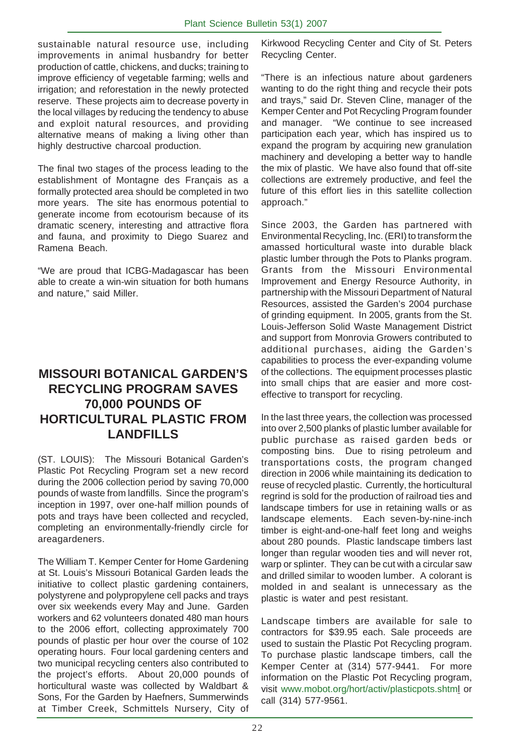sustainable natural resource use, including improvements in animal husbandry for better production of cattle, chickens, and ducks; training to improve efficiency of vegetable farming; wells and irrigation; and reforestation in the newly protected reserve. These projects aim to decrease poverty in the local villages by reducing the tendency to abuse and exploit natural resources, and providing alternative means of making a living other than highly destructive charcoal production.

The final two stages of the process leading to the establishment of Montagne des Français as a formally protected area should be completed in two more years. The site has enormous potential to generate income from ecotourism because of its dramatic scenery, interesting and attractive flora and fauna, and proximity to Diego Suarez and Ramena Beach.

"We are proud that ICBG-Madagascar has been able to create a win-win situation for both humans and nature," said Miller.

## **MISSOURI BOTANICAL GARDEN'S RECYCLING PROGRAM SAVES 70,000 POUNDS OF HORTICULTURAL PLASTIC FROM LANDFILLS**

(ST. LOUIS): The Missouri Botanical Garden's Plastic Pot Recycling Program set a new record during the 2006 collection period by saving 70,000 pounds of waste from landfills. Since the program's inception in 1997, over one-half million pounds of pots and trays have been collected and recycled, completing an environmentally-friendly circle for areagardeners.

The William T. Kemper Center for Home Gardening at St. Louis's Missouri Botanical Garden leads the initiative to collect plastic gardening containers, polystyrene and polypropylene cell packs and trays over six weekends every May and June. Garden workers and 62 volunteers donated 480 man hours to the 2006 effort, collecting approximately 700 pounds of plastic per hour over the course of 102 operating hours. Four local gardening centers and two municipal recycling centers also contributed to the project's efforts. About 20,000 pounds of horticultural waste was collected by Waldbart & Sons, For the Garden by Haefners, Summerwinds at Timber Creek, Schmittels Nursery, City of

Kirkwood Recycling Center and City of St. Peters Recycling Center.

"There is an infectious nature about gardeners wanting to do the right thing and recycle their pots and trays," said Dr. Steven Cline, manager of the Kemper Center and Pot Recycling Program founder and manager. "We continue to see increased participation each year, which has inspired us to expand the program by acquiring new granulation machinery and developing a better way to handle the mix of plastic. We have also found that off-site collections are extremely productive, and feel the future of this effort lies in this satellite collection approach."

Since 2003, the Garden has partnered with Environmental Recycling, Inc. (ERI) to transform the amassed horticultural waste into durable black plastic lumber through the Pots to Planks program. Grants from the Missouri Environmental Improvement and Energy Resource Authority, in partnership with the Missouri Department of Natural Resources, assisted the Garden's 2004 purchase of grinding equipment. In 2005, grants from the St. Louis-Jefferson Solid Waste Management District and support from Monrovia Growers contributed to additional purchases, aiding the Garden's capabilities to process the ever-expanding volume of the collections. The equipment processes plastic into small chips that are easier and more costeffective to transport for recycling.

In the last three years, the collection was processed into over 2,500 planks of plastic lumber available for public purchase as raised garden beds or composting bins. Due to rising petroleum and transportations costs, the program changed direction in 2006 while maintaining its dedication to reuse of recycled plastic. Currently, the horticultural regrind is sold for the production of railroad ties and landscape timbers for use in retaining walls or as landscape elements. Each seven-by-nine-inch timber is eight-and-one-half feet long and weighs about 280 pounds. Plastic landscape timbers last longer than regular wooden ties and will never rot, warp or splinter. They can be cut with a circular saw and drilled similar to wooden lumber. A colorant is molded in and sealant is unnecessary as the plastic is water and pest resistant.

Landscape timbers are available for sale to contractors for \$39.95 each. Sale proceeds are used to sustain the Plastic Pot Recycling program. To purchase plastic landscape timbers, call the Kemper Center at (314) 577-9441. For more information on the Plastic Pot Recycling program, visit www.mobot.org/hort/activ/plasticpots.shtml or call (314) 577-9561.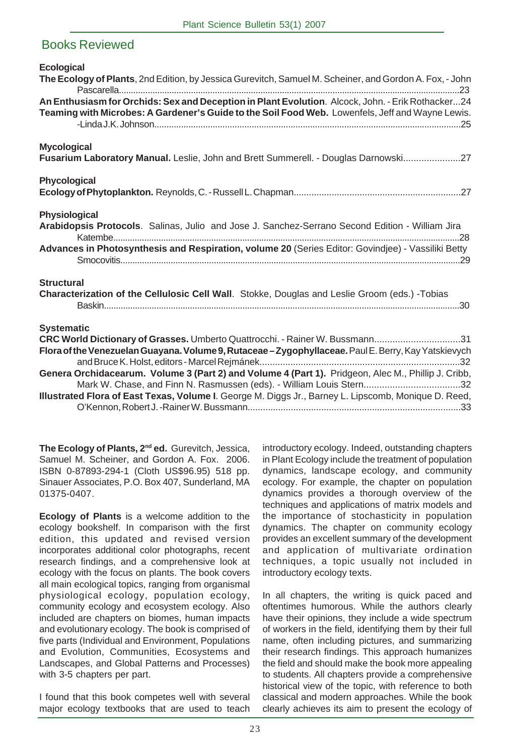## Books Reviewed

| <b>Ecological</b><br>The Ecology of Plants, 2nd Edition, by Jessica Gurevitch, Samuel M. Scheiner, and Gordon A. Fox, - John                                                                                                                                                                                                                                                                                                                                                                    |
|-------------------------------------------------------------------------------------------------------------------------------------------------------------------------------------------------------------------------------------------------------------------------------------------------------------------------------------------------------------------------------------------------------------------------------------------------------------------------------------------------|
| An Enthusiasm for Orchids: Sex and Deception in Plant Evolution. Alcock, John. - Erik Rothacker24<br>Teaming with Microbes: A Gardener's Guide to the Soil Food Web. Lowenfels, Jeff and Wayne Lewis.                                                                                                                                                                                                                                                                                           |
| <b>Mycological</b><br>Fusarium Laboratory Manual. Leslie, John and Brett Summerell. - Douglas Darnowski27                                                                                                                                                                                                                                                                                                                                                                                       |
| Phycological                                                                                                                                                                                                                                                                                                                                                                                                                                                                                    |
| Physiological<br>Arabidopsis Protocols. Salinas, Julio and Jose J. Sanchez-Serrano Second Edition - William Jira<br>Advances in Photosynthesis and Respiration, volume 20 (Series Editor: Govindjee) - Vassiliki Betty                                                                                                                                                                                                                                                                          |
| <b>Structural</b><br>Characterization of the Cellulosic Cell Wall. Stokke, Douglas and Leslie Groom (eds.) -Tobias                                                                                                                                                                                                                                                                                                                                                                              |
| <b>Systematic</b><br>CRC World Dictionary of Grasses. Umberto Quattrocchi. - Rainer W. Bussmann31<br>Flora of the Venezuelan Guayana. Volume 9, Rutaceae - Zygophyllaceae. Paul E. Berry, Kay Yatskievych<br>Genera Orchidacearum. Volume 3 (Part 2) and Volume 4 (Part 1). Pridgeon, Alec M., Phillip J. Cribb,<br>Mark W. Chase, and Finn N. Rasmussen (eds). - William Louis Stern32<br>Illustrated Flora of East Texas, Volume I. George M. Diggs Jr., Barney L. Lipscomb, Monique D. Reed, |

**The Ecology of Plants, 2nd ed.** Gurevitch, Jessica, Samuel M. Scheiner, and Gordon A. Fox. 2006. ISBN 0-87893-294-1 (Cloth US\$96.95) 518 pp. Sinauer Associates, P.O. Box 407, Sunderland, MA 01375-0407.

**Ecology of Plants** is a welcome addition to the ecology bookshelf. In comparison with the first edition, this updated and revised version incorporates additional color photographs, recent research findings, and a comprehensive look at ecology with the focus on plants. The book covers all main ecological topics, ranging from organismal physiological ecology, population ecology, community ecology and ecosystem ecology. Also included are chapters on biomes, human impacts and evolutionary ecology. The book is comprised of five parts (Individual and Environment, Populations and Evolution, Communities, Ecosystems and Landscapes, and Global Patterns and Processes) with 3-5 chapters per part.

I found that this book competes well with several major ecology textbooks that are used to teach

introductory ecology. Indeed, outstanding chapters in Plant Ecology include the treatment of population dynamics, landscape ecology, and community ecology. For example, the chapter on population dynamics provides a thorough overview of the techniques and applications of matrix models and the importance of stochasticity in population dynamics. The chapter on community ecology provides an excellent summary of the development and application of multivariate ordination techniques, a topic usually not included in introductory ecology texts.

In all chapters, the writing is quick paced and oftentimes humorous. While the authors clearly have their opinions, they include a wide spectrum of workers in the field, identifying them by their full name, often including pictures, and summarizing their research findings. This approach humanizes the field and should make the book more appealing to students. All chapters provide a comprehensive historical view of the topic, with reference to both classical and modern approaches. While the book clearly achieves its aim to present the ecology of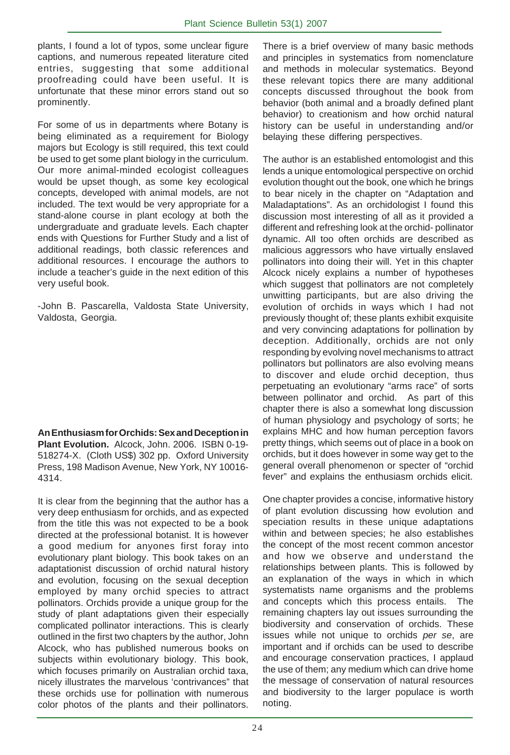plants, I found a lot of typos, some unclear figure captions, and numerous repeated literature cited entries, suggesting that some additional proofreading could have been useful. It is unfortunate that these minor errors stand out so prominently.

For some of us in departments where Botany is being eliminated as a requirement for Biology majors but Ecology is still required, this text could be used to get some plant biology in the curriculum. Our more animal-minded ecologist colleagues would be upset though, as some key ecological concepts, developed with animal models, are not included. The text would be very appropriate for a stand-alone course in plant ecology at both the undergraduate and graduate levels. Each chapter ends with Questions for Further Study and a list of additional readings, both classic references and additional resources. I encourage the authors to include a teacher's guide in the next edition of this very useful book.

-John B. Pascarella, Valdosta State University, Valdosta, Georgia.

**An Enthusiasm for Orchids: Sex and Deception in Plant Evolution.** Alcock, John. 2006. ISBN 0-19- 518274-X. (Cloth US\$) 302 pp. Oxford University Press, 198 Madison Avenue, New York, NY 10016- 4314.

It is clear from the beginning that the author has a very deep enthusiasm for orchids, and as expected from the title this was not expected to be a book directed at the professional botanist. It is however a good medium for anyones first foray into evolutionary plant biology. This book takes on an adaptationist discussion of orchid natural history and evolution, focusing on the sexual deception employed by many orchid species to attract pollinators. Orchids provide a unique group for the study of plant adaptations given their especially complicated pollinator interactions. This is clearly outlined in the first two chapters by the author, John Alcock, who has published numerous books on subjects within evolutionary biology. This book, which focuses primarily on Australian orchid taxa, nicely illustrates the marvelous 'contrivances" that these orchids use for pollination with numerous color photos of the plants and their pollinators.

There is a brief overview of many basic methods and principles in systematics from nomenclature and methods in molecular systematics. Beyond these relevant topics there are many additional concepts discussed throughout the book from behavior (both animal and a broadly defined plant behavior) to creationism and how orchid natural history can be useful in understanding and/or belaying these differing perspectives.

The author is an established entomologist and this lends a unique entomological perspective on orchid evolution thought out the book, one which he brings to bear nicely in the chapter on "Adaptation and Maladaptations". As an orchidologist I found this discussion most interesting of all as it provided a different and refreshing look at the orchid- pollinator dynamic. All too often orchids are described as malicious aggressors who have virtually enslaved pollinators into doing their will. Yet in this chapter Alcock nicely explains a number of hypotheses which suggest that pollinators are not completely unwitting participants, but are also driving the evolution of orchids in ways which I had not previously thought of; these plants exhibit exquisite and very convincing adaptations for pollination by deception. Additionally, orchids are not only responding by evolving novel mechanisms to attract pollinators but pollinators are also evolving means to discover and elude orchid deception, thus perpetuating an evolutionary "arms race" of sorts between pollinator and orchid. As part of this chapter there is also a somewhat long discussion of human physiology and psychology of sorts; he explains MHC and how human perception favors pretty things, which seems out of place in a book on orchids, but it does however in some way get to the general overall phenomenon or specter of "orchid fever" and explains the enthusiasm orchids elicit.

One chapter provides a concise, informative history of plant evolution discussing how evolution and speciation results in these unique adaptations within and between species; he also establishes the concept of the most recent common ancestor and how we observe and understand the relationships between plants. This is followed by an explanation of the ways in which in which systematists name organisms and the problems and concepts which this process entails. The remaining chapters lay out issues surrounding the biodiversity and conservation of orchids. These issues while not unique to orchids *per se*, are important and if orchids can be used to describe and encourage conservation practices, I applaud the use of them; any medium which can drive home the message of conservation of natural resources and biodiversity to the larger populace is worth noting.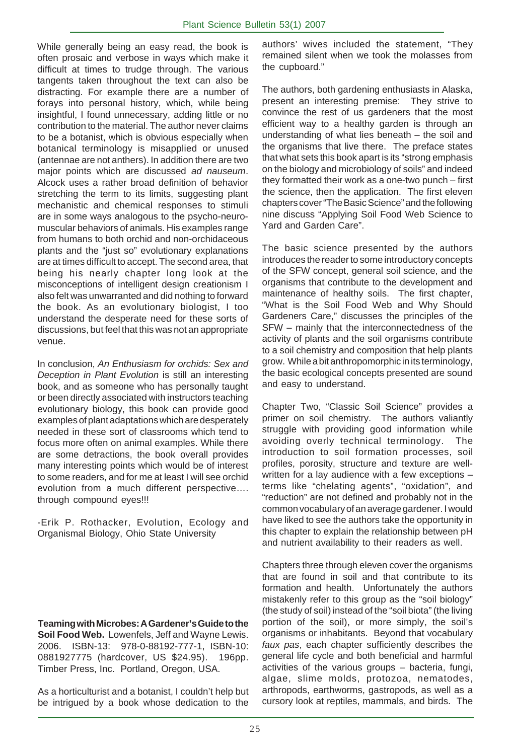While generally being an easy read, the book is often prosaic and verbose in ways which make it difficult at times to trudge through. The various tangents taken throughout the text can also be distracting. For example there are a number of forays into personal history, which, while being insightful, I found unnecessary, adding little or no contribution to the material. The author never claims to be a botanist, which is obvious especially when botanical terminology is misapplied or unused (antennae are not anthers). In addition there are two major points which are discussed *ad nauseum*. Alcock uses a rather broad definition of behavior stretching the term to its limits, suggesting plant mechanistic and chemical responses to stimuli are in some ways analogous to the psycho-neuromuscular behaviors of animals. His examples range from humans to both orchid and non-orchidaceous plants and the "just so" evolutionary explanations are at times difficult to accept. The second area, that being his nearly chapter long look at the misconceptions of intelligent design creationism I also felt was unwarranted and did nothing to forward the book. As an evolutionary biologist, I too understand the desperate need for these sorts of discussions, but feel that this was not an appropriate venue.

In conclusion, *An Enthusiasm for orchids: Sex and Deception in Plant Evolution* is still an interesting book, and as someone who has personally taught or been directly associated with instructors teaching evolutionary biology, this book can provide good examples of plant adaptations which are desperately needed in these sort of classrooms which tend to focus more often on animal examples. While there are some detractions, the book overall provides many interesting points which would be of interest to some readers, and for me at least I will see orchid evolution from a much different perspective…. through compound eyes!!!

-Erik P. Rothacker, Evolution, Ecology and Organismal Biology, Ohio State University

**Teaming with Microbes: A Gardener's Guide to the Soil Food Web.** Lowenfels, Jeff and Wayne Lewis. 2006. ISBN-13: 978-0-88192-777-1, ISBN-10: 0881927775 (hardcover, US \$24.95). 196pp. Timber Press, Inc. Portland, Oregon, USA.

As a horticulturist and a botanist, I couldn't help but be intrigued by a book whose dedication to the

authors' wives included the statement, "They remained silent when we took the molasses from the cupboard."

The authors, both gardening enthusiasts in Alaska, present an interesting premise: They strive to convince the rest of us gardeners that the most efficient way to a healthy garden is through an understanding of what lies beneath – the soil and the organisms that live there. The preface states that what sets this book apart is its "strong emphasis on the biology and microbiology of soils" and indeed they formatted their work as a one-two punch – first the science, then the application. The first eleven chapters cover "The Basic Science" and the following nine discuss "Applying Soil Food Web Science to Yard and Garden Care".

The basic science presented by the authors introduces the reader to some introductory concepts of the SFW concept, general soil science, and the organisms that contribute to the development and maintenance of healthy soils. The first chapter, "What is the Soil Food Web and Why Should Gardeners Care," discusses the principles of the SFW – mainly that the interconnectedness of the activity of plants and the soil organisms contribute to a soil chemistry and composition that help plants grow. While a bit anthropomorphic in its terminology, the basic ecological concepts presented are sound and easy to understand.

Chapter Two, "Classic Soil Science" provides a primer on soil chemistry. The authors valiantly struggle with providing good information while avoiding overly technical terminology. The introduction to soil formation processes, soil profiles, porosity, structure and texture are wellwritten for a lay audience with a few exceptions – terms like "chelating agents", "oxidation", and "reduction" are not defined and probably not in the common vocabulary of an average gardener. I would have liked to see the authors take the opportunity in this chapter to explain the relationship between pH and nutrient availability to their readers as well.

Chapters three through eleven cover the organisms that are found in soil and that contribute to its formation and health. Unfortunately the authors mistakenly refer to this group as the "soil biology" (the study of soil) instead of the "soil biota" (the living portion of the soil), or more simply, the soil's organisms or inhabitants. Beyond that vocabulary *faux pas*, each chapter sufficiently describes the general life cycle and both beneficial and harmful activities of the various groups – bacteria, fungi, algae, slime molds, protozoa, nematodes, arthropods, earthworms, gastropods, as well as a cursory look at reptiles, mammals, and birds. The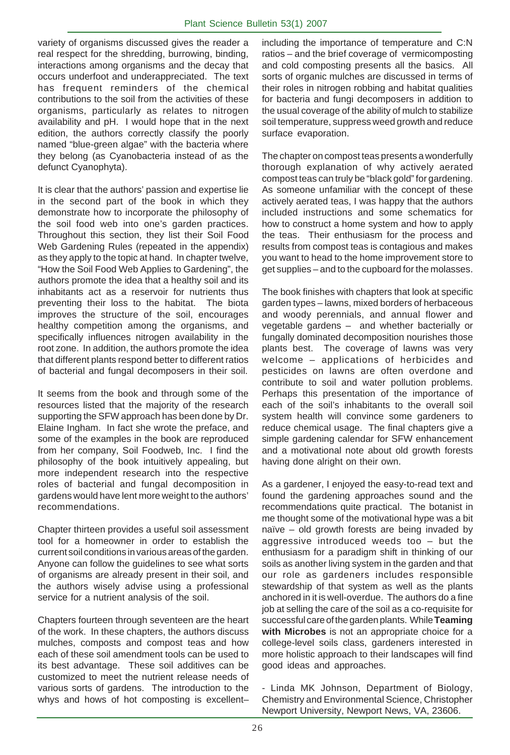variety of organisms discussed gives the reader a real respect for the shredding, burrowing, binding, interactions among organisms and the decay that occurs underfoot and underappreciated. The text has frequent reminders of the chemical contributions to the soil from the activities of these organisms, particularly as relates to nitrogen availability and pH. I would hope that in the next edition, the authors correctly classify the poorly named "blue-green algae" with the bacteria where they belong (as Cyanobacteria instead of as the defunct Cyanophyta).

It is clear that the authors' passion and expertise lie in the second part of the book in which they demonstrate how to incorporate the philosophy of the soil food web into one's garden practices. Throughout this section, they list their Soil Food Web Gardening Rules (repeated in the appendix) as they apply to the topic at hand. In chapter twelve, "How the Soil Food Web Applies to Gardening", the authors promote the idea that a healthy soil and its inhabitants act as a reservoir for nutrients thus preventing their loss to the habitat. The biota improves the structure of the soil, encourages healthy competition among the organisms, and specifically influences nitrogen availability in the root zone. In addition, the authors promote the idea that different plants respond better to different ratios of bacterial and fungal decomposers in their soil.

It seems from the book and through some of the resources listed that the majority of the research supporting the SFW approach has been done by Dr. Elaine Ingham. In fact she wrote the preface, and some of the examples in the book are reproduced from her company, Soil Foodweb, Inc. I find the philosophy of the book intuitively appealing, but more independent research into the respective roles of bacterial and fungal decomposition in gardens would have lent more weight to the authors' recommendations.

Chapter thirteen provides a useful soil assessment tool for a homeowner in order to establish the current soil conditions in various areas of the garden. Anyone can follow the guidelines to see what sorts of organisms are already present in their soil, and the authors wisely advise using a professional service for a nutrient analysis of the soil.

Chapters fourteen through seventeen are the heart of the work. In these chapters, the authors discuss mulches, composts and compost teas and how each of these soil amendment tools can be used to its best advantage. These soil additives can be customized to meet the nutrient release needs of various sorts of gardens. The introduction to the whys and hows of hot composting is excellent–

including the importance of temperature and C:N ratios – and the brief coverage of vermicomposting and cold composting presents all the basics. All sorts of organic mulches are discussed in terms of their roles in nitrogen robbing and habitat qualities for bacteria and fungi decomposers in addition to the usual coverage of the ability of mulch to stabilize soil temperature, suppress weed growth and reduce surface evaporation.

The chapter on compost teas presents a wonderfully thorough explanation of why actively aerated compost teas can truly be "black gold" for gardening. As someone unfamiliar with the concept of these actively aerated teas, I was happy that the authors included instructions and some schematics for how to construct a home system and how to apply the teas. Their enthusiasm for the process and results from compost teas is contagious and makes you want to head to the home improvement store to get supplies – and to the cupboard for the molasses.

The book finishes with chapters that look at specific garden types – lawns, mixed borders of herbaceous and woody perennials, and annual flower and vegetable gardens – and whether bacterially or fungally dominated decomposition nourishes those plants best. The coverage of lawns was very welcome – applications of herbicides and pesticides on lawns are often overdone and contribute to soil and water pollution problems. Perhaps this presentation of the importance of each of the soil's inhabitants to the overall soil system health will convince some gardeners to reduce chemical usage. The final chapters give a simple gardening calendar for SFW enhancement and a motivational note about old growth forests having done alright on their own.

As a gardener, I enjoyed the easy-to-read text and found the gardening approaches sound and the recommendations quite practical. The botanist in me thought some of the motivational hype was a bit naïve – old growth forests are being invaded by aggressive introduced weeds too – but the enthusiasm for a paradigm shift in thinking of our soils as another living system in the garden and that our role as gardeners includes responsible stewardship of that system as well as the plants anchored in it is well-overdue. The authors do a fine job at selling the care of the soil as a co-requisite for successful care of the garden plants. While **Teaming with Microbes** is not an appropriate choice for a college-level soils class, gardeners interested in more holistic approach to their landscapes will find good ideas and approaches.

- Linda MK Johnson, Department of Biology, Chemistry and Environmental Science, Christopher Newport University, Newport News, VA, 23606.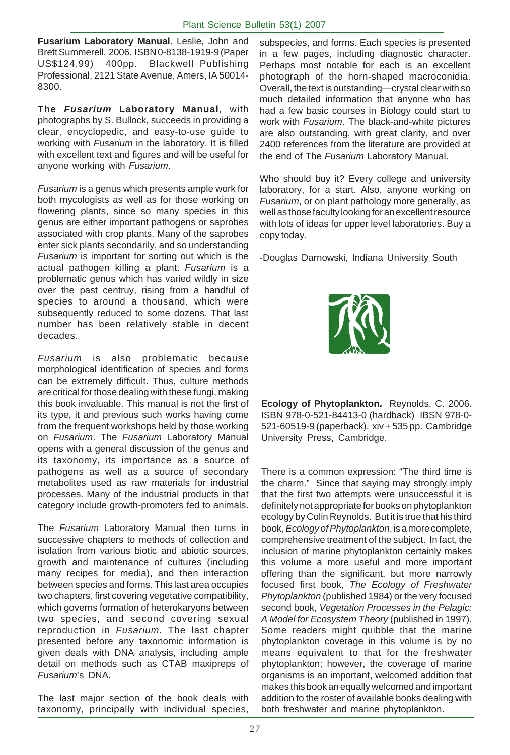**Fusarium Laboratory Manual.** Leslie, John and Brett Summerell. 2006. ISBN 0-8138-1919-9 (Paper US\$124.99) 400pp. Blackwell Publishing Professional, 2121 State Avenue, Amers, IA 50014- 8300.

**The** *Fusarium* **Laboratory Manual**, with photographs by S. Bullock, succeeds in providing a clear, encyclopedic, and easy-to-use guide to working with *Fusarium* in the laboratory. It is filled with excellent text and figures and will be useful for anyone working with *Fusarium*.

*Fusarium* is a genus which presents ample work for both mycologists as well as for those working on flowering plants, since so many species in this genus are either important pathogens or saprobes associated with crop plants. Many of the saprobes enter sick plants secondarily, and so understanding *Fusarium* is important for sorting out which is the actual pathogen killing a plant. *Fusarium* is a problematic genus which has varied wildly in size over the past centruy, rising from a handful of species to around a thousand, which were subsequently reduced to some dozens. That last number has been relatively stable in decent decades.

*Fusarium* is also problematic because morphological identification of species and forms can be extremely difficult. Thus, culture methods are critical for those dealing with these fungi, making this book invaluable. This manual is not the first of its type, it and previous such works having come from the frequent workshops held by those working on *Fusarium*. The *Fusarium* Laboratory Manual opens with a general discussion of the genus and its taxonomy, its importance as a source of pathogens as well as a source of secondary metabolites used as raw materials for industrial processes. Many of the industrial products in that category include growth-promoters fed to animals.

The *Fusarium* Laboratory Manual then turns in successive chapters to methods of collection and isolation from various biotic and abiotic sources, growth and maintenance of cultures (including many recipes for media), and then interaction between species and forms. This last area occupies two chapters, first covering vegetative compatibility, which governs formation of heterokaryons between two species, and second covering sexual reproduction in *Fusarium*. The last chapter presented before any taxonomic information is given deals with DNA analysis, including ample detail on methods such as CTAB maxipreps of *Fusarium*'s DNA.

The last major section of the book deals with taxonomy, principally with individual species,

subspecies, and forms. Each species is presented in a few pages, including diagnostic character. Perhaps most notable for each is an excellent photograph of the horn-shaped macroconidia. Overall, the text is outstanding—crystal clear with so much detailed information that anyone who has had a few basic courses in Biology could start to work with *Fusarium*. The black-and-white pictures are also outstanding, with great clarity, and over 2400 references from the literature are provided at the end of The *Fusarium* Laboratory Manual.

Who should buy it? Every college and university laboratory, for a start. Also, anyone working on *Fusarium*, or on plant pathology more generally, as well as those faculty looking for an excellent resource with lots of ideas for upper level laboratories. Buy a copy today.

-Douglas Darnowski, Indiana University South



**Ecology of Phytoplankton.** Reynolds, C. 2006. ISBN 978-0-521-84413-0 (hardback) IBSN 978-0- 521-60519-9 (paperback). xiv + 535 pp. Cambridge University Press, Cambridge.

There is a common expression: "The third time is the charm." Since that saying may strongly imply that the first two attempts were unsuccessful it is definitely not appropriate for books on phytoplankton ecology by Colin Reynolds. But it is true that his third book, *Ecology of Phytoplankton*, is a more complete, comprehensive treatment of the subject. In fact, the inclusion of marine phytoplankton certainly makes this volume a more useful and more important offering than the significant, but more narrowly focused first book, *The Ecology of Freshwater Phytoplankton* (published 1984) or the very focused second book, *Vegetation Processes in the Pelagic: A Model for Ecosystem Theory* (published in 1997). Some readers might quibble that the marine phytoplankton coverage in this volume is by no means equivalent to that for the freshwater phytoplankton; however, the coverage of marine organisms is an important, welcomed addition that makes this book an equally welcomed and important addition to the roster of available books dealing with both freshwater and marine phytoplankton.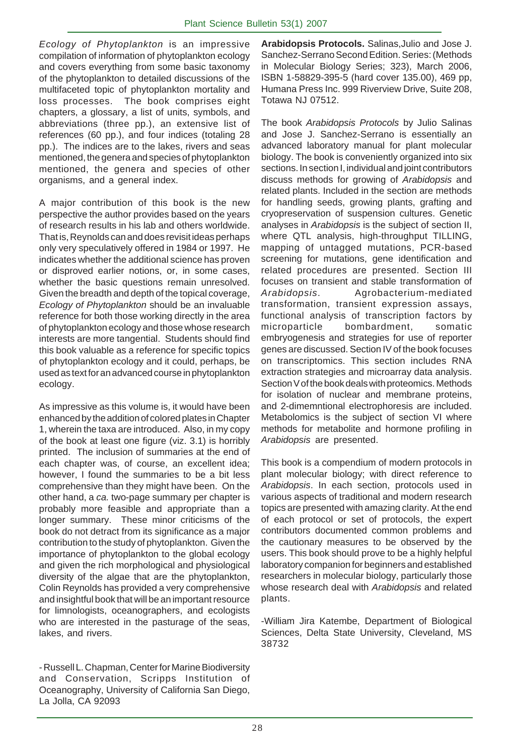*Ecology of Phytoplankton* is an impressive compilation of information of phytoplankton ecology and covers everything from some basic taxonomy of the phytoplankton to detailed discussions of the multifaceted topic of phytoplankton mortality and loss processes. The book comprises eight chapters, a glossary, a list of units, symbols, and abbreviations (three pp.), an extensive list of references (60 pp.), and four indices (totaling 28 pp.). The indices are to the lakes, rivers and seas mentioned, the genera and species of phytoplankton mentioned, the genera and species of other organisms, and a general index.

A major contribution of this book is the new perspective the author provides based on the years of research results in his lab and others worldwide. That is, Reynolds can and does revisit ideas perhaps only very speculatively offered in 1984 or 1997. He indicates whether the additional science has proven or disproved earlier notions, or, in some cases, whether the basic questions remain unresolved. Given the breadth and depth of the topical coverage, *Ecology of Phytoplankton* should be an invaluable reference for both those working directly in the area of phytoplankton ecology and those whose research interests are more tangential. Students should find this book valuable as a reference for specific topics of phytoplankton ecology and it could, perhaps, be used as text for an advanced course in phytoplankton ecology.

As impressive as this volume is, it would have been enhanced by the addition of colored plates in Chapter 1, wherein the taxa are introduced. Also, in my copy of the book at least one figure (viz. 3.1) is horribly printed. The inclusion of summaries at the end of each chapter was, of course, an excellent idea; however, I found the summaries to be a bit less comprehensive than they might have been. On the other hand, a *ca.* two-page summary per chapter is probably more feasible and appropriate than a longer summary. These minor criticisms of the book do not detract from its significance as a major contribution to the study of phytoplankton. Given the importance of phytoplankton to the global ecology and given the rich morphological and physiological diversity of the algae that are the phytoplankton, Colin Reynolds has provided a very comprehensive and insightful book that will be an important resource for limnologists, oceanographers, and ecologists who are interested in the pasturage of the seas, lakes, and rivers.

- Russell L. Chapman, Center for Marine Biodiversity and Conservation, Scripps Institution of Oceanography, University of California San Diego, La Jolla, CA 92093

**Arabidopsis Protocols.** Salinas,Julio and Jose J. Sanchez-Serrano Second Edition. Series: (Methods in Molecular Biology Series; 323), March 2006, ISBN 1-58829-395-5 (hard cover 135.00), 469 pp, Humana Press Inc. 999 Riverview Drive, Suite 208, Totawa NJ 07512.

The book *Arabidopsis Protocols* by Julio Salinas and Jose J. Sanchez-Serrano is essentially an advanced laboratory manual for plant molecular biology. The book is conveniently organized into six sections. In section I, individual and joint contributors discuss methods for growing of *Arabidopsis* and related plants. Included in the section are methods for handling seeds, growing plants, grafting and cryopreservation of suspension cultures. Genetic analyses in *Arabidopsis* is the subject of section II, where QTL analysis, high-throughput TILLING, mapping of untagged mutations, PCR-based screening for mutations, gene identification and related procedures are presented. Section III focuses on transient and stable transformation of *Arabidopsis*. Agrobacterium-mediated transformation, transient expression assays, functional analysis of transcription factors by microparticle bombardment, somatic embryogenesis and strategies for use of reporter genes are discussed. Section IV of the book focuses on transcriptomics. This section includes RNA extraction strategies and microarray data analysis. Section V of the book deals with proteomics. Methods for isolation of nuclear and membrane proteins, and 2-dimemntional electrophoresis are included. Metabolomics is the subject of section VI where methods for metabolite and hormone profiling in *Arabidopsis* are presented.

This book is a compendium of modern protocols in plant molecular biology; with direct reference to *Arabidopsis*. In each section, protocols used in various aspects of traditional and modern research topics are presented with amazing clarity. At the end of each protocol or set of protocols, the expert contributors documented common problems and the cautionary measures to be observed by the users. This book should prove to be a highly helpful laboratory companion for beginners and established researchers in molecular biology, particularly those whose research deal with *Arabidopsis* and related plants.

-William Jira Katembe, Department of Biological Sciences, Delta State University, Cleveland, MS 38732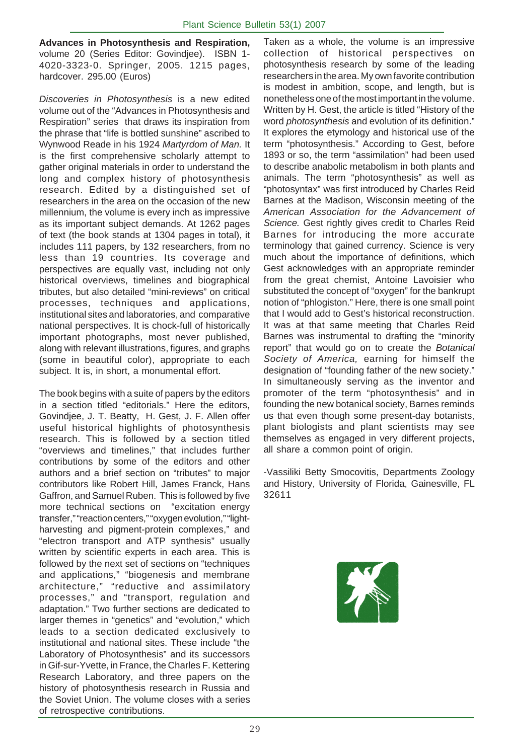**Advances in Photosynthesis and Respiration,** volume 20 (Series Editor: Govindjee). ISBN 1- 4020-3323-0. Springer, 2005. 1215 pages, hardcover. 295.00 (Euros)

*Discoveries in Photosynthesis* is a new edited volume out of the "Advances in Photosynthesis and Respiration" series that draws its inspiration from the phrase that "life is bottled sunshine" ascribed to Wynwood Reade in his 1924 *Martyrdom of Man.* It is the first comprehensive scholarly attempt to gather original materials in order to understand the long and complex history of photosynthesis research. Edited by a distinguished set of researchers in the area on the occasion of the new millennium, the volume is every inch as impressive as its important subject demands. At 1262 pages of text (the book stands at 1304 pages in total), it includes 111 papers, by 132 researchers, from no less than 19 countries. Its coverage and perspectives are equally vast, including not only historical overviews, timelines and biographical tributes, but also detailed "mini-reviews" on critical processes, techniques and applications, institutional sites and laboratories, and comparative national perspectives. It is chock-full of historically important photographs, most never published, along with relevant illustrations, figures, and graphs (some in beautiful color), appropriate to each subject. It is, in short, a monumental effort.

The book begins with a suite of papers by the editors in a section titled "editorials." Here the editors, Govindjee, J. T. Beatty, H. Gest, J. F. Allen offer useful historical highlights of photosynthesis research. This is followed by a section titled "overviews and timelines," that includes further contributions by some of the editors and other authors and a brief section on "tributes" to major contributors like Robert Hill, James Franck, Hans Gaffron, and Samuel Ruben. This is followed by five more technical sections on "excitation energy transfer," "reaction centers," "oxygen evolution," "lightharvesting and pigment-protein complexes," and "electron transport and ATP synthesis" usually written by scientific experts in each area. This is followed by the next set of sections on "techniques and applications," "biogenesis and membrane architecture," "reductive and assimilatory processes," and "transport, regulation and adaptation." Two further sections are dedicated to larger themes in "genetics" and "evolution," which leads to a section dedicated exclusively to institutional and national sites. These include "the Laboratory of Photosynthesis" and its successors in Gif-sur-Yvette, in France, the Charles F. Kettering Research Laboratory, and three papers on the history of photosynthesis research in Russia and the Soviet Union. The volume closes with a series of retrospective contributions.

Taken as a whole, the volume is an impressive collection of historical perspectives on photosynthesis research by some of the leading researchers in the area. My own favorite contribution is modest in ambition, scope, and length, but is nonetheless one of the most important in the volume. Written by H. Gest, the article is titled "History of the word *photosynthesis* and evolution of its definition." It explores the etymology and historical use of the term "photosynthesis." According to Gest, before 1893 or so, the term "assimilation" had been used to describe anabolic metabolism in both plants and animals. The term "photosynthesis" as well as "photosyntax" was first introduced by Charles Reid Barnes at the Madison, Wisconsin meeting of the *American Association for the Advancement of Science.* Gest rightly gives credit to Charles Reid Barnes for introducing the more accurate terminology that gained currency. Science is very much about the importance of definitions, which Gest acknowledges with an appropriate reminder from the great chemist, Antoine Lavoisier who substituted the concept of "oxygen" for the bankrupt notion of "phlogiston." Here, there is one small point that I would add to Gest's historical reconstruction. It was at that same meeting that Charles Reid Barnes was instrumental to drafting the "minority report" that would go on to create the *Botanical Society of America,* earning for himself the designation of "founding father of the new society." In simultaneously serving as the inventor and promoter of the term "photosynthesis" and in founding the new botanical society, Barnes reminds us that even though some present-day botanists, plant biologists and plant scientists may see themselves as engaged in very different projects, all share a common point of origin.

-Vassiliki Betty Smocovitis, Departments Zoology and History, University of Florida, Gainesville, FL 32611

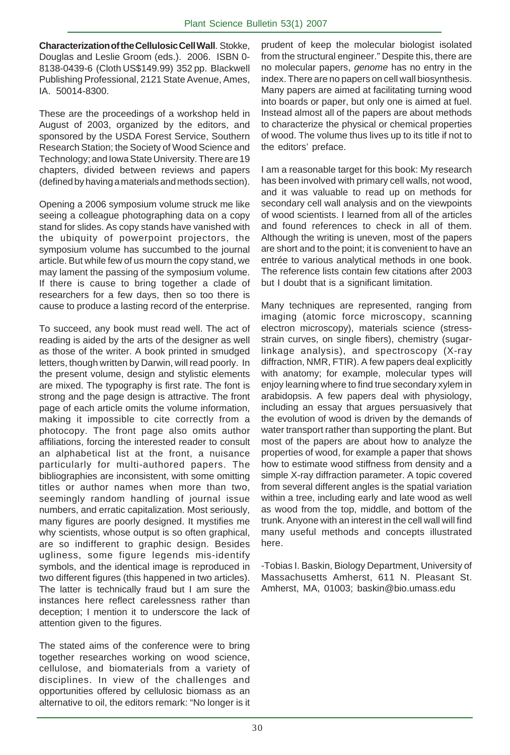**Characterization of the Cellulosic Cell Wall**. Stokke, Douglas and Leslie Groom (eds.). 2006. ISBN 0- 8138-0439-6 (Cloth US\$149.99) 352 pp. Blackwell Publishing Professional, 2121 State Avenue, Ames, IA. 50014-8300.

These are the proceedings of a workshop held in August of 2003, organized by the editors, and sponsored by the USDA Forest Service, Southern Research Station; the Society of Wood Science and Technology; and Iowa State University. There are 19 chapters, divided between reviews and papers (defined by having a materials and methods section).

Opening a 2006 symposium volume struck me like seeing a colleague photographing data on a copy stand for slides. As copy stands have vanished with the ubiquity of powerpoint projectors, the symposium volume has succumbed to the journal article. But while few of us mourn the copy stand, we may lament the passing of the symposium volume. If there is cause to bring together a clade of researchers for a few days, then so too there is cause to produce a lasting record of the enterprise.

To succeed, any book must read well. The act of reading is aided by the arts of the designer as well as those of the writer. A book printed in smudged letters, though written by Darwin, will read poorly. In the present volume, design and stylistic elements are mixed. The typography is first rate. The font is strong and the page design is attractive. The front page of each article omits the volume information, making it impossible to cite correctly from a photocopy. The front page also omits author affiliations, forcing the interested reader to consult an alphabetical list at the front, a nuisance particularly for multi-authored papers. The bibliographies are inconsistent, with some omitting titles or author names when more than two, seemingly random handling of journal issue numbers, and erratic capitalization. Most seriously, many figures are poorly designed. It mystifies me why scientists, whose output is so often graphical, are so indifferent to graphic design. Besides ugliness, some figure legends mis-identify symbols, and the identical image is reproduced in two different figures (this happened in two articles). The latter is technically fraud but I am sure the instances here reflect carelessness rather than deception; I mention it to underscore the lack of attention given to the figures.

The stated aims of the conference were to bring together researches working on wood science, cellulose, and biomaterials from a variety of disciplines. In view of the challenges and opportunities offered by cellulosic biomass as an alternative to oil, the editors remark: "No longer is it

prudent of keep the molecular biologist isolated from the structural engineer." Despite this, there are no molecular papers, *genome* has no entry in the index. There are no papers on cell wall biosynthesis. Many papers are aimed at facilitating turning wood into boards or paper, but only one is aimed at fuel. Instead almost all of the papers are about methods to characterize the physical or chemical properties of wood. The volume thus lives up to its title if not to the editors' preface.

I am a reasonable target for this book: My research has been involved with primary cell walls, not wood, and it was valuable to read up on methods for secondary cell wall analysis and on the viewpoints of wood scientists. I learned from all of the articles and found references to check in all of them. Although the writing is uneven, most of the papers are short and to the point; it is convenient to have an entrée to various analytical methods in one book. The reference lists contain few citations after 2003 but I doubt that is a significant limitation.

Many techniques are represented, ranging from imaging (atomic force microscopy, scanning electron microscopy), materials science (stressstrain curves, on single fibers), chemistry (sugarlinkage analysis), and spectroscopy (X-ray diffraction, NMR, FTIR). A few papers deal explicitly with anatomy; for example, molecular types will enjoy learning where to find true secondary xylem in arabidopsis. A few papers deal with physiology, including an essay that argues persuasively that the evolution of wood is driven by the demands of water transport rather than supporting the plant. But most of the papers are about how to analyze the properties of wood, for example a paper that shows how to estimate wood stiffness from density and a simple X-ray diffraction parameter. A topic covered from several different angles is the spatial variation within a tree, including early and late wood as well as wood from the top, middle, and bottom of the trunk. Anyone with an interest in the cell wall will find many useful methods and concepts illustrated here.

-Tobias I. Baskin, Biology Department, University of Massachusetts Amherst, 611 N. Pleasant St. Amherst, MA, 01003; baskin@bio.umass.edu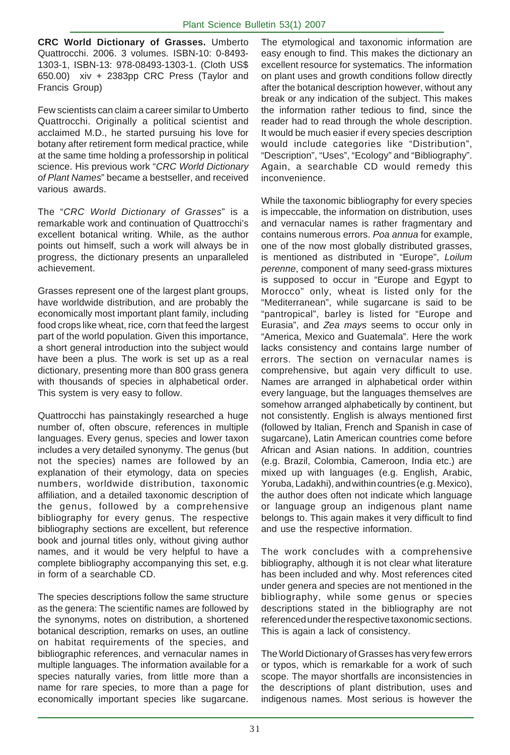**CRC World Dictionary of Grasses.** Umberto Quattrocchi. 2006. 3 volumes. ISBN-10: 0-8493- 1303-1, ISBN-13: 978-08493-1303-1. (Cloth US\$ 650.00) xiv + 2383pp CRC Press (Taylor and Francis Group)

Few scientists can claim a career similar to Umberto Quattrocchi. Originally a political scientist and acclaimed M.D., he started pursuing his love for botany after retirement form medical practice, while at the same time holding a professorship in political science. His previous work "*CRC World Dictionary of Plant Names*" became a bestseller, and received various awards.

The "*CRC World Dictionary of Grasses*" is a remarkable work and continuation of Quattrocchi's excellent botanical writing. While, as the author points out himself, such a work will always be in progress, the dictionary presents an unparalleled achievement.

Grasses represent one of the largest plant groups, have worldwide distribution, and are probably the economically most important plant family, including food crops like wheat, rice, corn that feed the largest part of the world population. Given this importance, a short general introduction into the subject would have been a plus. The work is set up as a real dictionary, presenting more than 800 grass genera with thousands of species in alphabetical order. This system is very easy to follow.

Quattrocchi has painstakingly researched a huge number of, often obscure, references in multiple languages. Every genus, species and lower taxon includes a very detailed synonymy. The genus (but not the species) names are followed by an explanation of their etymology, data on species numbers, worldwide distribution, taxonomic affiliation, and a detailed taxonomic description of the genus, followed by a comprehensive bibliography for every genus. The respective bibliography sections are excellent, but reference book and journal titles only, without giving author names, and it would be very helpful to have a complete bibliography accompanying this set, e.g. in form of a searchable CD.

The species descriptions follow the same structure as the genera: The scientific names are followed by the synonyms, notes on distribution, a shortened botanical description, remarks on uses, an outline on habitat requirements of the species, and bibliographic references, and vernacular names in multiple languages. The information available for a species naturally varies, from little more than a name for rare species, to more than a page for economically important species like sugarcane.

The etymological and taxonomic information are easy enough to find. This makes the dictionary an excellent resource for systematics. The information on plant uses and growth conditions follow directly after the botanical description however, without any break or any indication of the subject. This makes the information rather tedious to find, since the reader had to read through the whole description. It would be much easier if every species description would include categories like "Distribution", "Description", "Uses", "Ecology" and "Bibliography". Again, a searchable CD would remedy this inconvenience.

While the taxonomic bibliography for every species is impeccable, the information on distribution, uses and vernacular names is rather fragmentary and contains numerous errors. *Poa annua* for example, one of the now most globally distributed grasses, is mentioned as distributed in "Europe", *Loilum perenne*, component of many seed-grass mixtures is supposed to occur in "Europe and Egypt to Morocco" only, wheat is listed only for the "Mediterranean", while sugarcane is said to be "pantropical", barley is listed for "Europe and Eurasia", and *Zea mays* seems to occur only in "America, Mexico and Guatemala". Here the work lacks consistency and contains large number of errors. The section on vernacular names is comprehensive, but again very difficult to use. Names are arranged in alphabetical order within every language, but the languages themselves are somehow arranged alphabetically by continent, but not consistently. English is always mentioned first (followed by Italian, French and Spanish in case of sugarcane), Latin American countries come before African and Asian nations. In addition, countries (e.g. Brazil, Colombia, Cameroon, India etc.) are mixed up with languages (e.g. English, Arabic, Yoruba, Ladakhi), and within countries (e.g. Mexico), the author does often not indicate which language or language group an indigenous plant name belongs to. This again makes it very difficult to find and use the respective information.

The work concludes with a comprehensive bibliography, although it is not clear what literature has been included and why. Most references cited under genera and species are not mentioned in the bibliography, while some genus or species descriptions stated in the bibliography are not referenced under the respective taxonomic sections. This is again a lack of consistency.

The World Dictionary of Grasses has very few errors or typos, which is remarkable for a work of such scope. The mayor shortfalls are inconsistencies in the descriptions of plant distribution, uses and indigenous names. Most serious is however the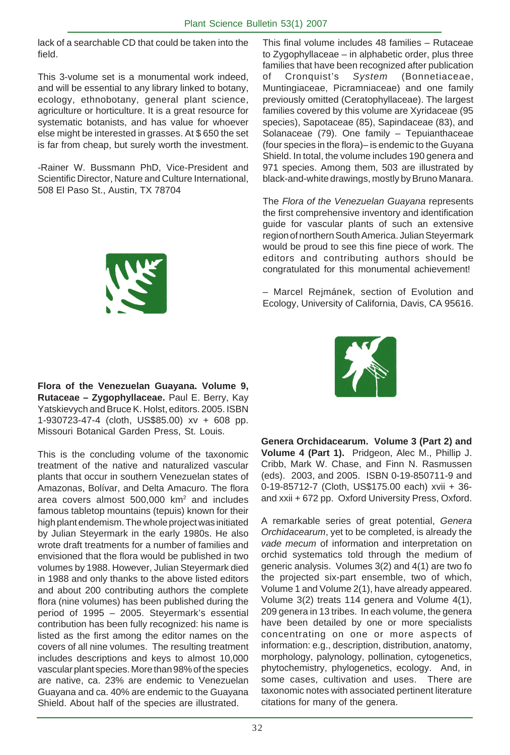lack of a searchable CD that could be taken into the field.

This 3-volume set is a monumental work indeed, and will be essential to any library linked to botany, ecology, ethnobotany, general plant science, agriculture or horticulture. It is a great resource for systematic botanists, and has value for whoever else might be interested in grasses. At \$ 650 the set is far from cheap, but surely worth the investment.

-Rainer W. Bussmann PhD, Vice-President and Scientific Director, Nature and Culture International, 508 El Paso St., Austin, TX 78704



**Flora of the Venezuelan Guayana. Volume 9, Rutaceae – Zygophyllaceae.** Paul E. Berry, Kay Yatskievych and Bruce K. Holst, editors. 2005. ISBN 1-930723-47-4 (cloth, US\$85.00) xv + 608 pp. Missouri Botanical Garden Press, St. Louis.

This is the concluding volume of the taxonomic treatment of the native and naturalized vascular plants that occur in southern Venezuelan states of Amazonas, Bolívar, and Delta Amacuro. The flora area covers almost 500,000 km2 and includes famous tabletop mountains (tepuis) known for their high plant endemism. The whole project was initiated by Julian Steyermark in the early 1980s. He also wrote draft treatments for a number of families and envisioned that the flora would be published in two volumes by 1988. However, Julian Steyermark died in 1988 and only thanks to the above listed editors and about 200 contributing authors the complete flora (nine volumes) has been published during the period of 1995 – 2005. Steyermark's essential contribution has been fully recognized: his name is listed as the first among the editor names on the covers of all nine volumes. The resulting treatment includes descriptions and keys to almost 10,000 vascular plant species. More than 98% of the species are native, ca. 23% are endemic to Venezuelan Guayana and ca. 40% are endemic to the Guayana Shield. About half of the species are illustrated.

This final volume includes 48 families – Rutaceae to Zygophyllaceae – in alphabetic order, plus three families that have been recognized after publication of Cronquist's *System* (Bonnetiaceae, Muntingiaceae, Picramniaceae) and one family previously omitted (Ceratophyllaceae). The largest families covered by this volume are Xyridaceae (95 species), Sapotaceae (85), Sapindaceae (83), and Solanaceae (79). One family – Tepuianthaceae (four species in the flora)– is endemic to the Guyana Shield. In total, the volume includes 190 genera and 971 species. Among them, 503 are illustrated by black-and-white drawings, mostly by Bruno Manara.

The *Flora of the Venezuelan Guayana* represents the first comprehensive inventory and identification guide for vascular plants of such an extensive region of northern South America. Julian Steyermark would be proud to see this fine piece of work. The editors and contributing authors should be congratulated for this monumental achievement!

– Marcel Rejmánek, section of Evolution and Ecology, University of California, Davis, CA 95616.



**Genera Orchidacearum. Volume 3 (Part 2) and Volume 4 (Part 1).** Pridgeon, Alec M., Phillip J. Cribb, Mark W. Chase, and Finn N. Rasmussen (eds). 2003, and 2005. ISBN 0-19-850711-9 and 0-19-85712-7 (Cloth, US\$175.00 each) xvii + 36 and xxii + 672 pp. Oxford University Press, Oxford.

A remarkable series of great potential, *Genera Orchidacearum*, yet to be completed, is already the *vade mecum* of information and interpretation on orchid systematics told through the medium of generic analysis. Volumes 3(2) and 4(1) are two fo the projected six-part ensemble, two of which, Volume 1 and Volume 2(1), have already appeared. Volume 3(2) treats 114 genera and Volume 4(1), 209 genera in 13 tribes. In each volume, the genera have been detailed by one or more specialists concentrating on one or more aspects of information: e.g., description, distribution, anatomy, morphology, palynology, pollination, cytogenetics, phytochemistry, phylogenetics, ecology. And, in some cases, cultivation and uses. There are taxonomic notes with associated pertinent literature citations for many of the genera.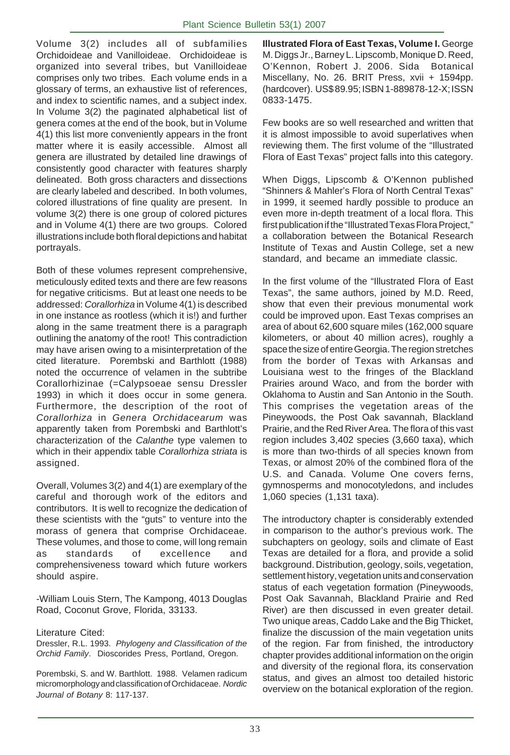Volume 3(2) includes all of subfamilies Orchidoideae and Vanilloideae. Orchidoideae is organized into several tribes, but Vanilloideae comprises only two tribes. Each volume ends in a glossary of terms, an exhaustive list of references, and index to scientific names, and a subject index. In Volume 3(2) the paginated alphabetical list of genera comes at the end of the book, but in Volume 4(1) this list more conveniently appears in the front matter where it is easily accessible. Almost all genera are illustrated by detailed line drawings of consistently good character with features sharply delineated. Both gross characters and dissections are clearly labeled and described. In both volumes, colored illustrations of fine quality are present. In volume 3(2) there is one group of colored pictures and in Volume 4(1) there are two groups. Colored illustrations include both floral depictions and habitat portrayals.

Both of these volumes represent comprehensive, meticulously edited texts and there are few reasons for negative criticisms. But at least one needs to be addressed: *Corallorhiza* in Volume 4(1) is described in one instance as rootless (which it is!) and further along in the same treatment there is a paragraph outlining the anatomy of the root! This contradiction may have arisen owing to a misinterpretation of the cited literature. Porembski and Barthlott (1988) noted the occurrence of velamen in the subtribe Corallorhizinae (=Calypsoeae sensu Dressler 1993) in which it does occur in some genera. Furthermore, the description of the root of *Corallorhiza* in *Genera Orchidacearum* was apparently taken from Porembski and Barthlott's characterization of the *Calanthe* type valemen to which in their appendix table *Corallorhiza striata* is assigned.

Overall, Volumes 3(2) and 4(1) are exemplary of the careful and thorough work of the editors and contributors. It is well to recognize the dedication of these scientists with the "guts" to venture into the morass of genera that comprise Orchidaceae. These volumes, and those to come, will long remain as standards of excellence and comprehensiveness toward which future workers should aspire.

-William Louis Stern, The Kampong, 4013 Douglas Road, Coconut Grove, Florida, 33133.

#### Literature Cited:

Dressler, R.L. 1993. *Phylogeny and Classification of the Orchid Family*. Dioscorides Press, Portland, Oregon.

Porembski, S. and W. Barthlott. 1988. Velamen radicum micromorphology and classification of Orchidaceae. *Nordic Journal of Botany* 8: 117-137.

**Illustrated Flora of East Texas, Volume I.** George M. Diggs Jr., Barney L. Lipscomb, Monique D. Reed, O'Kennon, Robert J. 2006. Sida Botanical Miscellany, No. 26. BRIT Press, xvii + 1594pp. (hardcover). US\$ 89.95; ISBN 1-889878-12-X; ISSN 0833-1475.

Few books are so well researched and written that it is almost impossible to avoid superlatives when reviewing them. The first volume of the "Illustrated Flora of East Texas" project falls into this category.

When Diggs, Lipscomb & O'Kennon published "Shinners & Mahler's Flora of North Central Texas" in 1999, it seemed hardly possible to produce an even more in-depth treatment of a local flora. This first publication if the "Illustrated Texas Flora Project," a collaboration between the Botanical Research Institute of Texas and Austin College, set a new standard, and became an immediate classic.

In the first volume of the "Illustrated Flora of East Texas", the same authors, joined by M.D. Reed, show that even their previous monumental work could be improved upon. East Texas comprises an area of about 62,600 square miles (162,000 square kilometers, or about 40 million acres), roughly a space the size of entire Georgia. The region stretches from the border of Texas with Arkansas and Louisiana west to the fringes of the Blackland Prairies around Waco, and from the border with Oklahoma to Austin and San Antonio in the South. This comprises the vegetation areas of the Pineywoods, the Post Oak savannah, Blackland Prairie, and the Red River Area. The flora of this vast region includes 3,402 species (3,660 taxa), which is more than two-thirds of all species known from Texas, or almost 20% of the combined flora of the U.S. and Canada. Volume One covers ferns, gymnosperms and monocotyledons, and includes 1,060 species (1,131 taxa).

The introductory chapter is considerably extended in comparison to the author's previous work. The subchapters on geology, soils and climate of East Texas are detailed for a flora, and provide a solid background. Distribution, geology, soils, vegetation, settlement history, vegetation units and conservation status of each vegetation formation (Pineywoods, Post Oak Savannah, Blackland Prairie and Red River) are then discussed in even greater detail. Two unique areas, Caddo Lake and the Big Thicket, finalize the discussion of the main vegetation units of the region. Far from finished, the introductory chapter provides additional information on the origin and diversity of the regional flora, its conservation status, and gives an almost too detailed historic overview on the botanical exploration of the region.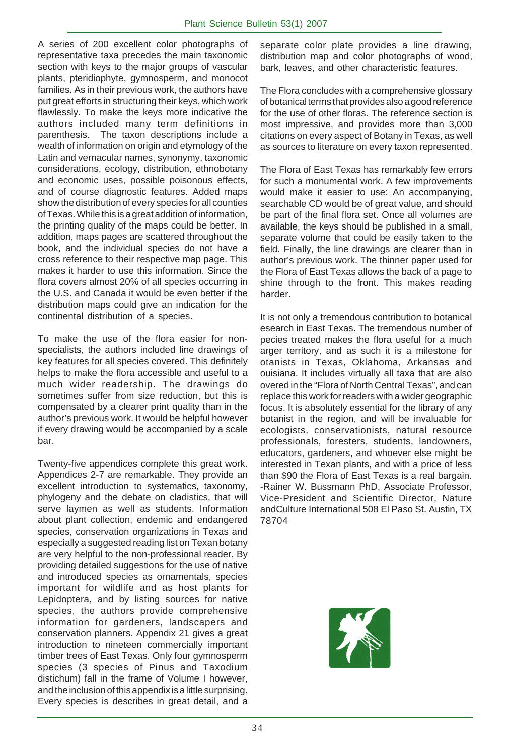A series of 200 excellent color photographs of representative taxa precedes the main taxonomic section with keys to the major groups of vascular plants, pteridiophyte, gymnosperm, and monocot families. As in their previous work, the authors have put great efforts in structuring their keys, which work flawlessly. To make the keys more indicative the authors included many term definitions in parenthesis. The taxon descriptions include a wealth of information on origin and etymology of the Latin and vernacular names, synonymy, taxonomic considerations, ecology, distribution, ethnobotany and economic uses, possible poisonous effects, and of course diagnostic features. Added maps show the distribution of every species for all counties of Texas. While this is a great addition of information, the printing quality of the maps could be better. In addition, maps pages are scattered throughout the book, and the individual species do not have a cross reference to their respective map page. This makes it harder to use this information. Since the flora covers almost 20% of all species occurring in the U.S. and Canada it would be even better if the distribution maps could give an indication for the continental distribution of a species.

To make the use of the flora easier for nonspecialists, the authors included line drawings of key features for all species covered. This definitely helps to make the flora accessible and useful to a much wider readership. The drawings do sometimes suffer from size reduction, but this is compensated by a clearer print quality than in the author's previous work. It would be helpful however if every drawing would be accompanied by a scale bar.

Twenty-five appendices complete this great work. Appendices 2-7 are remarkable. They provide an excellent introduction to systematics, taxonomy, phylogeny and the debate on cladistics, that will serve laymen as well as students. Information about plant collection, endemic and endangered species, conservation organizations in Texas and especially a suggested reading list on Texan botany are very helpful to the non-professional reader. By providing detailed suggestions for the use of native and introduced species as ornamentals, species important for wildlife and as host plants for Lepidoptera, and by listing sources for native species, the authors provide comprehensive information for gardeners, landscapers and conservation planners. Appendix 21 gives a great introduction to nineteen commercially important timber trees of East Texas. Only four gymnosperm species (3 species of Pinus and Taxodium distichum) fall in the frame of Volume I however, and the inclusion of this appendix is a little surprising. Every species is describes in great detail, and a

separate color plate provides a line drawing, distribution map and color photographs of wood, bark, leaves, and other characteristic features.

The Flora concludes with a comprehensive glossary of botanical terms that provides also a good reference for the use of other floras. The reference section is most impressive, and provides more than 3,000 citations on every aspect of Botany in Texas, as well as sources to literature on every taxon represented.

The Flora of East Texas has remarkably few errors for such a monumental work. A few improvements would make it easier to use: An accompanying, searchable CD would be of great value, and should be part of the final flora set. Once all volumes are available, the keys should be published in a small, separate volume that could be easily taken to the field. Finally, the line drawings are clearer than in author's previous work. The thinner paper used for the Flora of East Texas allows the back of a page to shine through to the front. This makes reading harder.

It is not only a tremendous contribution to botanical esearch in East Texas. The tremendous number of pecies treated makes the flora useful for a much arger territory, and as such it is a milestone for otanists in Texas, Oklahoma, Arkansas and ouisiana. It includes virtually all taxa that are also overed in the "Flora of North Central Texas", and can replace this work for readers with a wider geographic focus. It is absolutely essential for the library of any botanist in the region, and will be invaluable for ecologists, conservationists, natural resource professionals, foresters, students, landowners, educators, gardeners, and whoever else might be interested in Texan plants, and with a price of less than \$90 the Flora of East Texas is a real bargain. -Rainer W. Bussmann PhD, Associate Professor, Vice-President and Scientific Director, Nature andCulture International 508 El Paso St. Austin, TX 78704

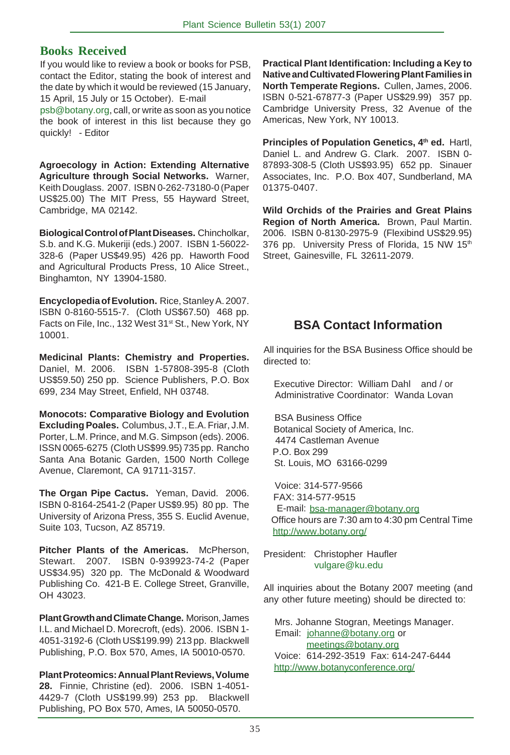### **Books Received**

If you would like to review a book or books for PSB, contact the Editor, stating the book of interest and the date by which it would be reviewed (15 January, 15 April, 15 July or 15 October). E-mail

psb@botany.org, call, or write as soon as you notice the book of interest in this list because they go quickly! - Editor

**Agroecology in Action: Extending Alternative Agriculture through Social Networks.** Warner, Keith Douglass. 2007. ISBN 0-262-73180-0 (Paper US\$25.00) The MIT Press, 55 Hayward Street, Cambridge, MA 02142.

**Biological Control of Plant Diseases.** Chincholkar, S.b. and K.G. Mukeriji (eds.) 2007. ISBN 1-56022- 328-6 (Paper US\$49.95) 426 pp. Haworth Food and Agricultural Products Press, 10 Alice Street., Binghamton, NY 13904-1580.

**Encyclopedia of Evolution.** Rice, Stanley A. 2007. ISBN 0-8160-5515-7. (Cloth US\$67.50) 468 pp. Facts on File, Inc., 132 West 31<sup>st</sup> St., New York, NY 10001.

**Medicinal Plants: Chemistry and Properties.** Daniel, M. 2006. ISBN 1-57808-395-8 (Cloth US\$59.50) 250 pp. Science Publishers, P.O. Box 699, 234 May Street, Enfield, NH 03748.

**Monocots: Comparative Biology and Evolution Excluding Poales.** Columbus, J.T., E.A. Friar, J.M. Porter, L.M. Prince, and M.G. Simpson (eds). 2006. ISSN 0065-6275 (Cloth US\$99.95) 735 pp. Rancho Santa Ana Botanic Garden, 1500 North College Avenue, Claremont, CA 91711-3157.

**The Organ Pipe Cactus.** Yeman, David. 2006. ISBN 0-8164-2541-2 (Paper US\$9.95) 80 pp. The University of Arizona Press, 355 S. Euclid Avenue, Suite 103, Tucson, AZ 85719.

**Pitcher Plants of the Americas.** McPherson, Stewart. 2007. ISBN 0-939923-74-2 (Paper US\$34.95) 320 pp. The McDonald & Woodward Publishing Co. 421-B E. College Street, Granville, OH 43023.

**Plant Growth and Climate Change.** Morison, James I.L. and Michael D. Morecroft, (eds). 2006. ISBN 1- 4051-3192-6 (Cloth US\$199.99) 213 pp. Blackwell Publishing, P.O. Box 570, Ames, IA 50010-0570.

**Plant Proteomics: Annual Plant Reviews, Volume 28.** Finnie, Christine (ed). 2006. ISBN 1-4051- 4429-7 (Cloth US\$199.99) 253 pp. Blackwell Publishing, PO Box 570, Ames, IA 50050-0570.

**Practical Plant Identification: Including a Key to Native and Cultivated Flowering Plant Families in North Temperate Regions.** Cullen, James, 2006. ISBN 0-521-67877-3 (Paper US\$29.99) 357 pp. Cambridge University Press, 32 Avenue of the Americas, New York, NY 10013.

Principles of Population Genetics, 4<sup>th</sup> ed. Hartl, Daniel L. and Andrew G. Clark. 2007. ISBN 0- 87893-308-5 (Cloth US\$93.95) 652 pp. Sinauer Associates, Inc. P.O. Box 407, Sundberland, MA 01375-0407.

**Wild Orchids of the Prairies and Great Plains Region of North America.** Brown, Paul Martin. 2006. ISBN 0-8130-2975-9 (Flexibind US\$29.95) 376 pp. University Press of Florida, 15 NW 15th Street, Gainesville, FL 32611-2079.

## **BSA Contact Information**

All inquiries for the BSA Business Office should be directed to:

 Executive Director: William Dahl and / or Administrative Coordinator: Wanda Lovan

 BSA Business Office Botanical Society of America, Inc. 4474 Castleman Avenue P.O. Box 299 St. Louis, MO 63166-0299

 Voice: 314-577-9566 FAX: 314-577-9515 E-mail: bsa-manager@botany.org Office hours are 7:30 am to 4:30 pm Central Time http://www.botany.org/

President: Christopher Haufler vulgare@ku.edu

All inquiries about the Botany 2007 meeting (and any other future meeting) should be directed to:

 Mrs. Johanne Stogran, Meetings Manager. Email: johanne@botany.org or meetings@botany.org Voice: 614-292-3519 Fax: 614-247-6444 http://www.botanyconference.org/